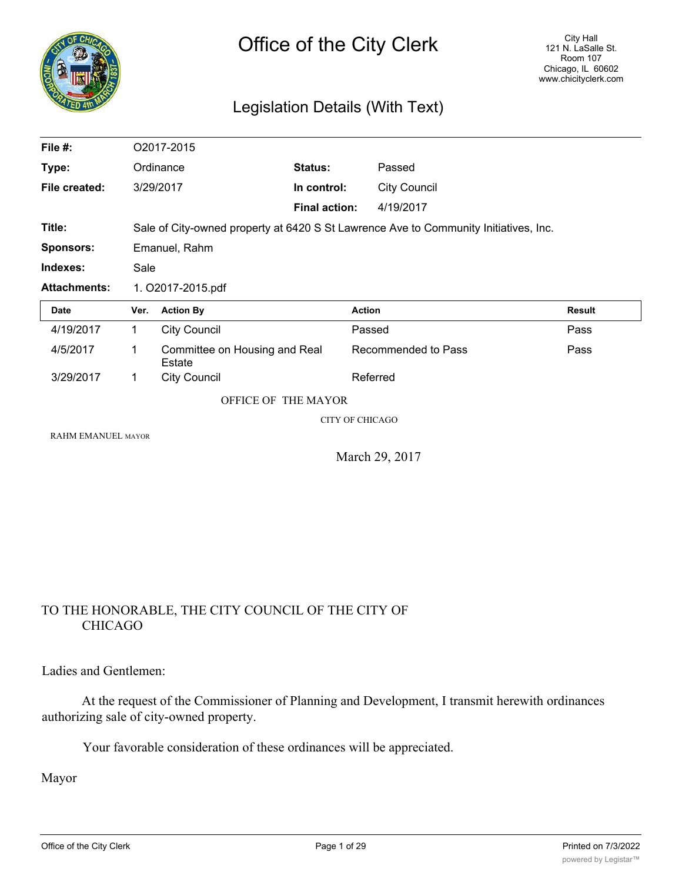

# Legislation Details (With Text)

| File #:                   |                                                                                      | O2017-2015                              |                        |                     |               |
|---------------------------|--------------------------------------------------------------------------------------|-----------------------------------------|------------------------|---------------------|---------------|
| Type:                     |                                                                                      | Ordinance                               | Status:                | Passed              |               |
| File created:             |                                                                                      | 3/29/2017                               | In control:            | <b>City Council</b> |               |
|                           |                                                                                      |                                         | <b>Final action:</b>   | 4/19/2017           |               |
| Title:                    | Sale of City-owned property at 6420 S St Lawrence Ave to Community Initiatives, Inc. |                                         |                        |                     |               |
| <b>Sponsors:</b>          |                                                                                      | Emanuel, Rahm                           |                        |                     |               |
| Indexes:                  | Sale                                                                                 |                                         |                        |                     |               |
| <b>Attachments:</b>       |                                                                                      | 1. O2017-2015.pdf                       |                        |                     |               |
| <b>Date</b>               | Ver.                                                                                 | <b>Action By</b>                        | <b>Action</b>          |                     | <b>Result</b> |
| 4/19/2017                 | $\mathbf{1}$                                                                         | <b>City Council</b>                     |                        | Passed              | Pass          |
| 4/5/2017                  | 1                                                                                    | Committee on Housing and Real<br>Estate |                        | Recommended to Pass | Pass          |
| 3/29/2017                 | 1                                                                                    | <b>City Council</b>                     |                        | Referred            |               |
|                           |                                                                                      | OFFICE OF THE MAYOR                     |                        |                     |               |
|                           |                                                                                      |                                         | <b>CITY OF CHICAGO</b> |                     |               |
| <b>RAHM EMANUEL MAYOR</b> |                                                                                      |                                         |                        |                     |               |

March 29, 2017

## TO THE HONORABLE, THE CITY COUNCIL OF THE CITY OF CHICAGO

Ladies and Gentlemen:

At the request of the Commissioner of Planning and Development, I transmit herewith ordinances authorizing sale of city-owned property.

Your favorable consideration of these ordinances will be appreciated.

Mayor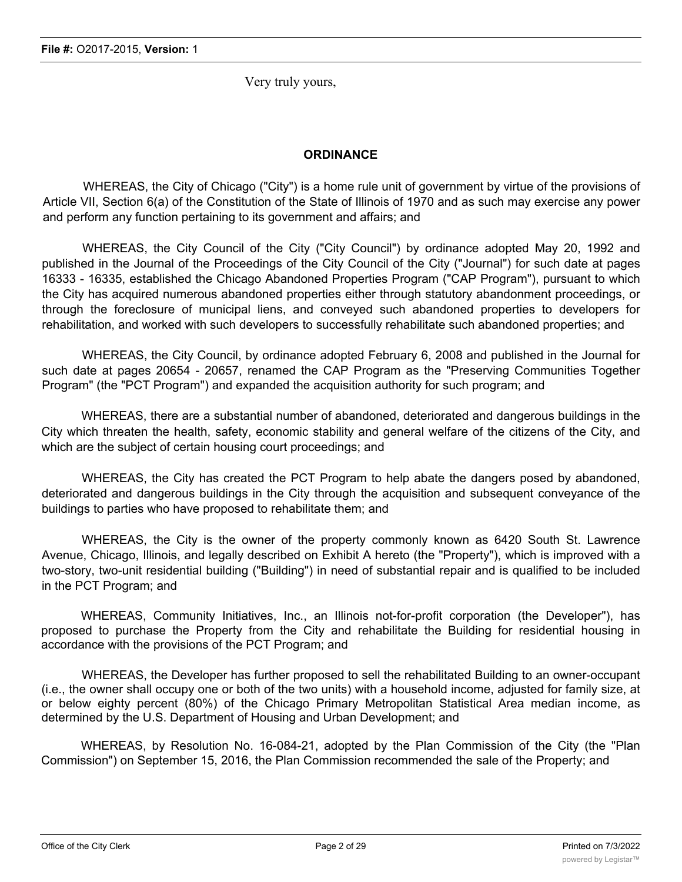Very truly yours,

## **ORDINANCE**

WHEREAS, the City of Chicago ("City") is a home rule unit of government by virtue of the provisions of Article VII, Section 6(a) of the Constitution of the State of Illinois of 1970 and as such may exercise any power and perform any function pertaining to its government and affairs; and

WHEREAS, the City Council of the City ("City Council") by ordinance adopted May 20, 1992 and published in the Journal of the Proceedings of the City Council of the City ("Journal") for such date at pages 16333 - 16335, established the Chicago Abandoned Properties Program ("CAP Program"), pursuant to which the City has acquired numerous abandoned properties either through statutory abandonment proceedings, or through the foreclosure of municipal liens, and conveyed such abandoned properties to developers for rehabilitation, and worked with such developers to successfully rehabilitate such abandoned properties; and

WHEREAS, the City Council, by ordinance adopted February 6, 2008 and published in the Journal for such date at pages 20654 - 20657, renamed the CAP Program as the "Preserving Communities Together Program" (the "PCT Program") and expanded the acquisition authority for such program; and

WHEREAS, there are a substantial number of abandoned, deteriorated and dangerous buildings in the City which threaten the health, safety, economic stability and general welfare of the citizens of the City, and which are the subject of certain housing court proceedings; and

WHEREAS, the City has created the PCT Program to help abate the dangers posed by abandoned, deteriorated and dangerous buildings in the City through the acquisition and subsequent conveyance of the buildings to parties who have proposed to rehabilitate them; and

WHEREAS, the City is the owner of the property commonly known as 6420 South St. Lawrence Avenue, Chicago, Illinois, and legally described on Exhibit A hereto (the "Property"), which is improved with a two-story, two-unit residential building ("Building") in need of substantial repair and is qualified to be included in the PCT Program; and

WHEREAS, Community Initiatives, Inc., an Illinois not-for-profit corporation (the Developer"), has proposed to purchase the Property from the City and rehabilitate the Building for residential housing in accordance with the provisions of the PCT Program; and

WHEREAS, the Developer has further proposed to sell the rehabilitated Building to an owner-occupant (i.e., the owner shall occupy one or both of the two units) with a household income, adjusted for family size, at or below eighty percent (80%) of the Chicago Primary Metropolitan Statistical Area median income, as determined by the U.S. Department of Housing and Urban Development; and

WHEREAS, by Resolution No. 16-084-21, adopted by the Plan Commission of the City (the "Plan Commission") on September 15, 2016, the Plan Commission recommended the sale of the Property; and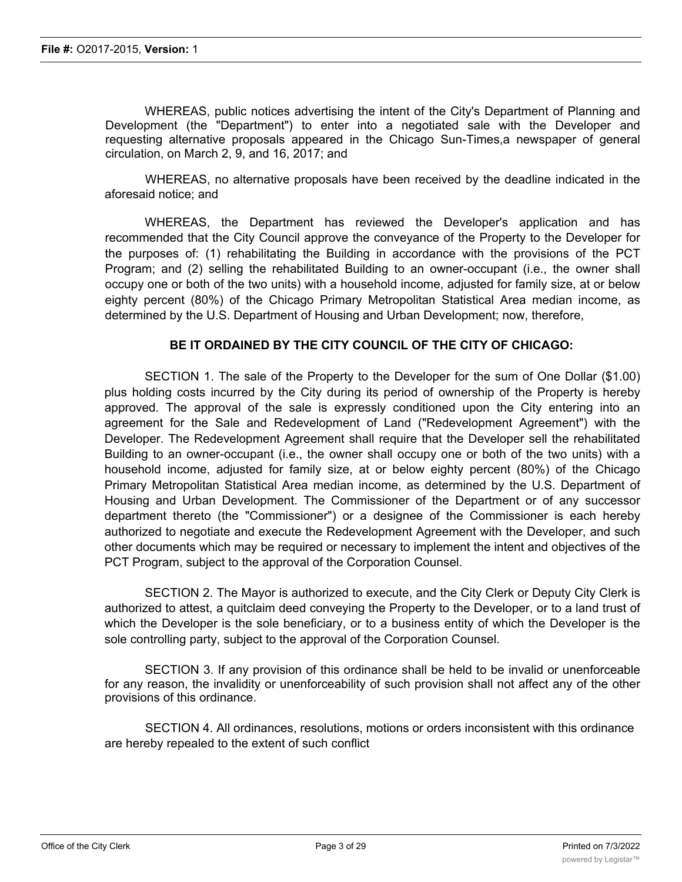WHEREAS, public notices advertising the intent of the City's Department of Planning and Development (the "Department") to enter into a negotiated sale with the Developer and requesting alternative proposals appeared in the Chicago Sun-Times,a newspaper of general circulation, on March 2, 9, and 16, 2017; and

WHEREAS, no alternative proposals have been received by the deadline indicated in the aforesaid notice; and

WHEREAS, the Department has reviewed the Developer's application and has recommended that the City Council approve the conveyance of the Property to the Developer for the purposes of: (1) rehabilitating the Building in accordance with the provisions of the PCT Program; and (2) selling the rehabilitated Building to an owner-occupant (i.e., the owner shall occupy one or both of the two units) with a household income, adjusted for family size, at or below eighty percent (80%) of the Chicago Primary Metropolitan Statistical Area median income, as determined by the U.S. Department of Housing and Urban Development; now, therefore,

## **BE IT ORDAINED BY THE CITY COUNCIL OF THE CITY OF CHICAGO:**

SECTION 1. The sale of the Property to the Developer for the sum of One Dollar (\$1.00) plus holding costs incurred by the City during its period of ownership of the Property is hereby approved. The approval of the sale is expressly conditioned upon the City entering into an agreement for the Sale and Redevelopment of Land ("Redevelopment Agreement") with the Developer. The Redevelopment Agreement shall require that the Developer sell the rehabilitated Building to an owner-occupant (i.e., the owner shall occupy one or both of the two units) with a household income, adjusted for family size, at or below eighty percent (80%) of the Chicago Primary Metropolitan Statistical Area median income, as determined by the U.S. Department of Housing and Urban Development. The Commissioner of the Department or of any successor department thereto (the "Commissioner") or a designee of the Commissioner is each hereby authorized to negotiate and execute the Redevelopment Agreement with the Developer, and such other documents which may be required or necessary to implement the intent and objectives of the PCT Program, subject to the approval of the Corporation Counsel.

SECTION 2. The Mayor is authorized to execute, and the City Clerk or Deputy City Clerk is authorized to attest, a quitclaim deed conveying the Property to the Developer, or to a land trust of which the Developer is the sole beneficiary, or to a business entity of which the Developer is the sole controlling party, subject to the approval of the Corporation Counsel.

SECTION 3. If any provision of this ordinance shall be held to be invalid or unenforceable for any reason, the invalidity or unenforceability of such provision shall not affect any of the other provisions of this ordinance.

SECTION 4. All ordinances, resolutions, motions or orders inconsistent with this ordinance are hereby repealed to the extent of such conflict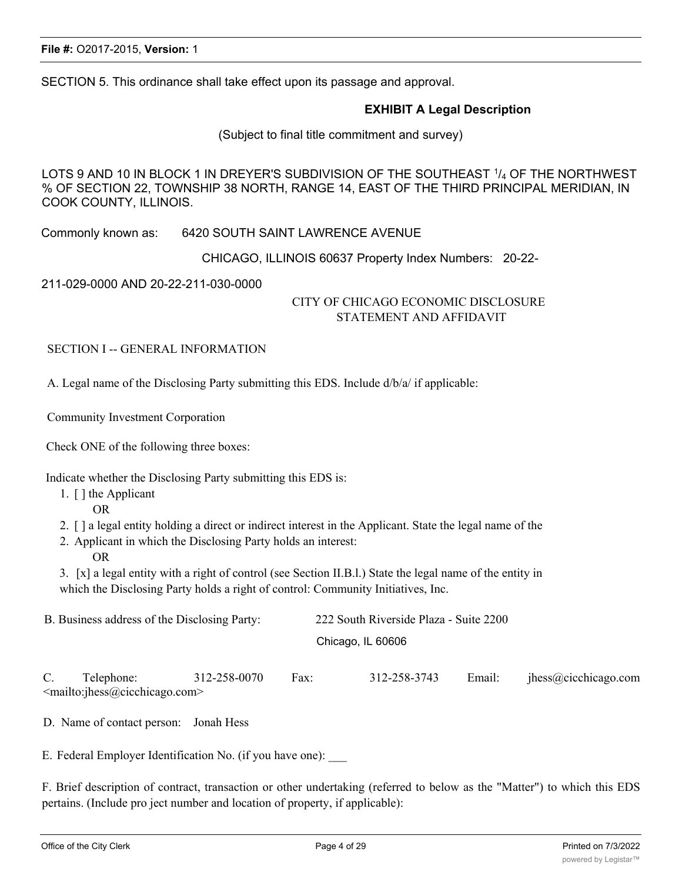SECTION 5. This ordinance shall take effect upon its passage and approval.

## **EXHIBIT A Legal Description**

(Subject to final title commitment and survey)

LOTS 9 AND 10 IN BLOCK 1 IN DREYER'S SUBDIVISION OF THE SOUTHEAST 1/4 OF THE NORTHWEST % OF SECTION 22, TOWNSHIP 38 NORTH, RANGE 14, EAST OF THE THIRD PRINCIPAL MERIDIAN, IN COOK COUNTY, ILLINOIS.

Commonly known as: 6420 SOUTH SAINT LAWRENCE AVENUE

CHICAGO, ILLINOIS 60637 Property Index Numbers: 20-22-

211-029-0000 AND 20-22-211-030-0000

## CITY OF CHICAGO ECONOMIC DISCLOSURE STATEMENT AND AFFIDAVIT

SECTION I -- GENERAL INFORMATION

A. Legal name of the Disclosing Party submitting this EDS. Include d/b/a/ if applicable:

Community Investment Corporation

Check ONE of the following three boxes:

Indicate whether the Disclosing Party submitting this EDS is:

- 1. [ ] the Applicant
	- OR
- 2. [ ] a legal entity holding a direct or indirect interest in the Applicant. State the legal name of the
- 2. Applicant in which the Disclosing Party holds an interest:
	- OR

3. [x] a legal entity with a right of control (see Section II.B.l.) State the legal name of the entity in which the Disclosing Party holds a right of control: Community Initiatives, Inc.

| B. Business address of the Disclosing Party: | 222 South Riverside Plaza - Suite 2200 |
|----------------------------------------------|----------------------------------------|
|                                              | Chicago, IL 60606                      |

C. Telephone: 312-258-0070 Fax: 312-258-3743 Email: jhess@cicchicago.com <mailto:jhess@cicchicago.com>

D. Name of contact person: Jonah Hess

E. Federal Employer Identification No. (if you have one):

F. Brief description of contract, transaction or other undertaking (referred to below as the "Matter") to which this EDS pertains. (Include pro ject number and location of property, if applicable):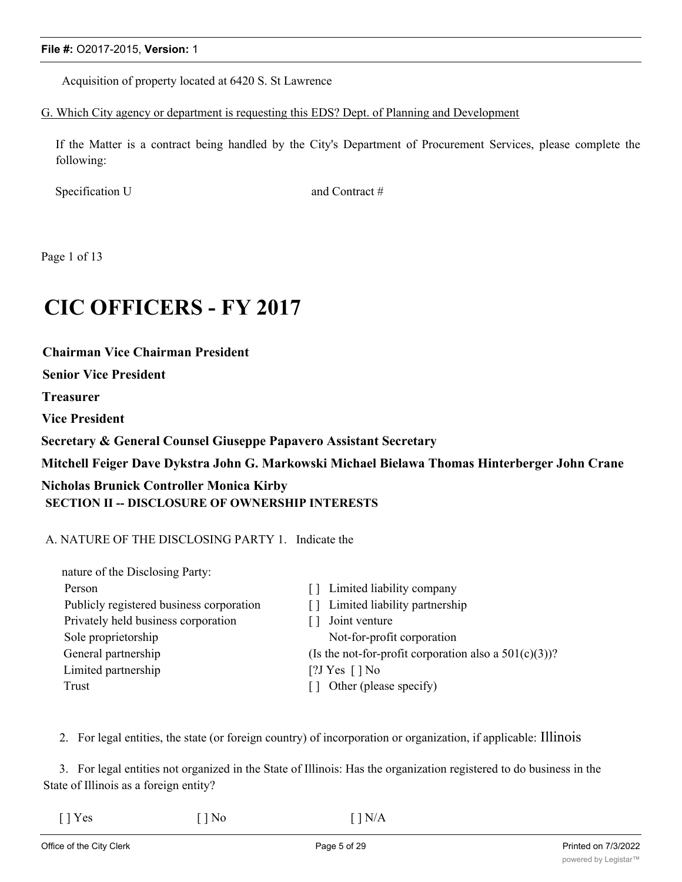Acquisition of property located at 6420 S. St Lawrence

## G. Which City agency or department is requesting this EDS? Dept. of Planning and Development

If the Matter is a contract being handled by the City's Department of Procurement Services, please complete the following:

Specification U and Contract #

Page 1 of 13

# **CIC OFFICERS - FY 2017**

**Chairman Vice Chairman President**

**Senior Vice President**

**Treasurer**

**Vice President**

**Secretary & General Counsel Giuseppe Papavero Assistant Secretary**

**Mitchell Feiger Dave Dykstra John G. Markowski Michael Bielawa Thomas Hinterberger John Crane**

## **Nicholas Brunick Controller Monica Kirby SECTION II -- DISCLOSURE OF OWNERSHIP INTERESTS**

## A. NATURE OF THE DISCLOSING PARTY 1. Indicate the

| nature of the Disclosing Party:          |                                                          |
|------------------------------------------|----------------------------------------------------------|
| Person                                   | [] Limited liability company                             |
| Publicly registered business corporation | [] Limited liability partnership                         |
| Privately held business corporation      | Joint venture                                            |
| Sole proprietorship                      | Not-for-profit corporation                               |
| General partnership                      | (Is the not-for-profit corporation also a $501(c)(3)$ )? |
| Limited partnership                      | [?J Yes $\lceil$ ] No                                    |
| Trust                                    | Other (please specify)                                   |

2. For legal entities, the state (or foreign country) of incorporation or organization, if applicable: Illinois

3. For legal entities not organized in the State of Illinois: Has the organization registered to do business in the State of Illinois as a foreign entity?

| $\lceil$   Yes | $[$   No | $\lceil \cdot \rceil N/A$ |
|----------------|----------|---------------------------|
|----------------|----------|---------------------------|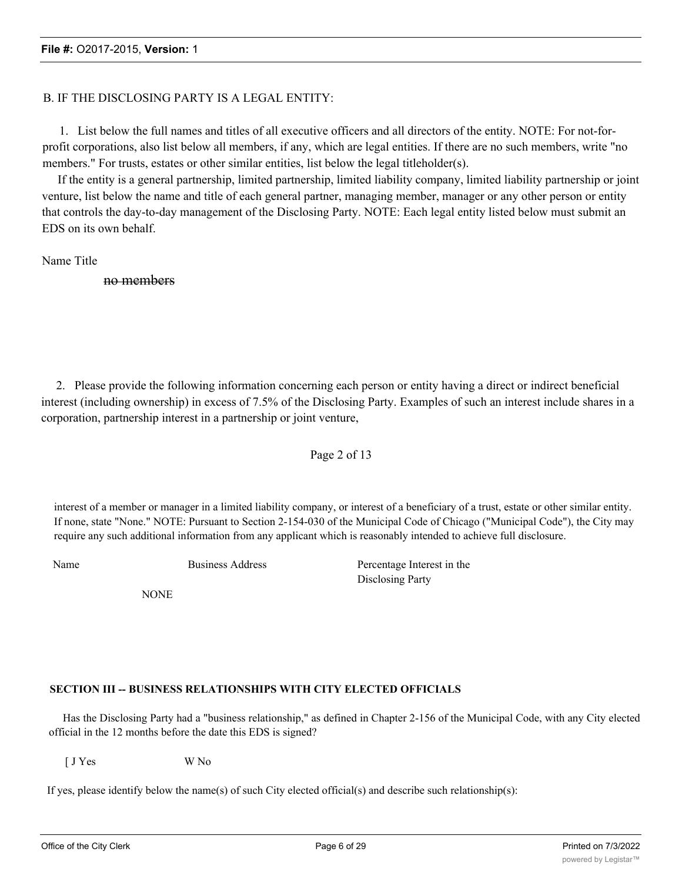## B. IF THE DISCLOSING PARTY IS A LEGAL ENTITY:

1. List below the full names and titles of all executive officers and all directors of the entity. NOTE: For not-forprofit corporations, also list below all members, if any, which are legal entities. If there are no such members, write "no members." For trusts, estates or other similar entities, list below the legal titleholder(s).

If the entity is a general partnership, limited partnership, limited liability company, limited liability partnership or joint venture, list below the name and title of each general partner, managing member, manager or any other person or entity that controls the day-to-day management of the Disclosing Party. NOTE: Each legal entity listed below must submit an EDS on its own behalf.

Name Title

no members

2. Please provide the following information concerning each person or entity having a direct or indirect beneficial interest (including ownership) in excess of 7.5% of the Disclosing Party. Examples of such an interest include shares in a corporation, partnership interest in a partnership or joint venture,

Page 2 of 13

interest of a member or manager in a limited liability company, or interest of a beneficiary of a trust, estate or other similar entity. If none, state "None." NOTE: Pursuant to Section 2-154-030 of the Municipal Code of Chicago ("Municipal Code"), the City may require any such additional information from any applicant which is reasonably intended to achieve full disclosure.

Name Business Address Percentage Interest in the Disclosing Party

**NONE** 

## **SECTION III -- BUSINESS RELATIONSHIPS WITH CITY ELECTED OFFICIALS**

Has the Disclosing Party had a "business relationship," as defined in Chapter 2-156 of the Municipal Code, with any City elected official in the 12 months before the date this EDS is signed?

[ J Yes W No

If yes, please identify below the name(s) of such City elected official(s) and describe such relationship(s):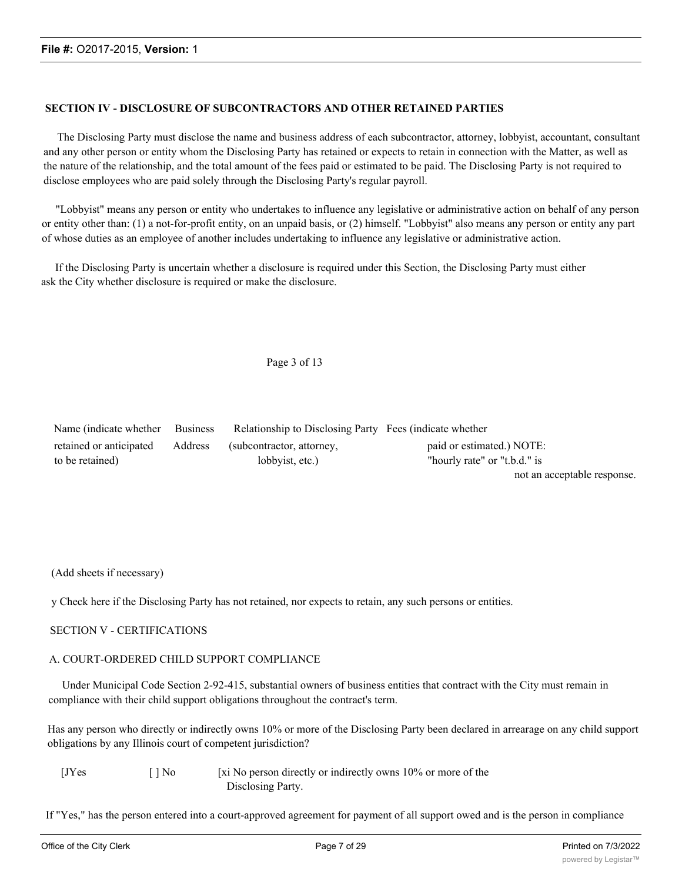#### **SECTION IV - DISCLOSURE OF SUBCONTRACTORS AND OTHER RETAINED PARTIES**

The Disclosing Party must disclose the name and business address of each subcontractor, attorney, lobbyist, accountant, consultant and any other person or entity whom the Disclosing Party has retained or expects to retain in connection with the Matter, as well as the nature of the relationship, and the total amount of the fees paid or estimated to be paid. The Disclosing Party is not required to disclose employees who are paid solely through the Disclosing Party's regular payroll.

"Lobbyist" means any person or entity who undertakes to influence any legislative or administrative action on behalf of any person or entity other than: (1) a not-for-profit entity, on an unpaid basis, or (2) himself. "Lobbyist" also means any person or entity any part of whose duties as an employee of another includes undertaking to influence any legislative or administrative action.

If the Disclosing Party is uncertain whether a disclosure is required under this Section, the Disclosing Party must either ask the City whether disclosure is required or make the disclosure.

Page 3 of 13

| Name (indicate whether Business |         | Relationship to Disclosing Party Fees (indicate whether |                              |
|---------------------------------|---------|---------------------------------------------------------|------------------------------|
| retained or anticipated         | Address | (subcontractor, attorney,                               | paid or estimated.) NOTE:    |
| to be retained)                 |         | lobbyist, etc.)                                         | "hourly rate" or "t.b.d." is |
|                                 |         |                                                         | not an acceptable response.  |

(Add sheets if necessary)

y Check here if the Disclosing Party has not retained, nor expects to retain, any such persons or entities.

#### SECTION V - CERTIFICATIONS

#### A. COURT-ORDERED CHILD SUPPORT COMPLIANCE

Under Municipal Code Section 2-92-415, substantial owners of business entities that contract with the City must remain in compliance with their child support obligations throughout the contract's term.

Has any person who directly or indirectly owns 10% or more of the Disclosing Party been declared in arrearage on any child support obligations by any Illinois court of competent jurisdiction?

| [JYes] | $\lceil \cdot \rceil$ No | [xi No person directly or indirectly owns 10% or more of the |
|--------|--------------------------|--------------------------------------------------------------|
|        |                          | Disclosing Party.                                            |

If "Yes," has the person entered into a court-approved agreement for payment of all support owed and is the person in compliance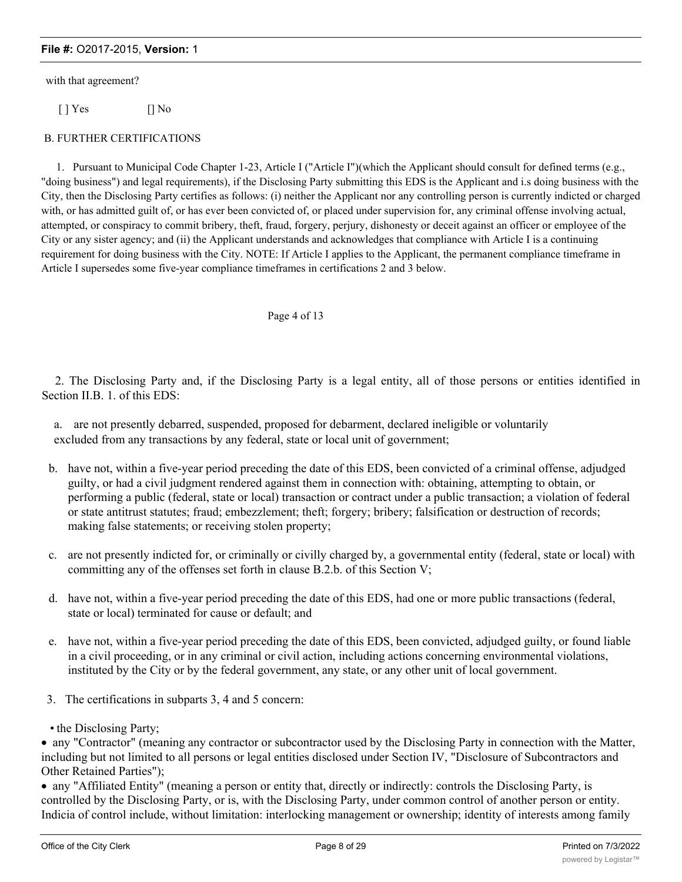with that agreement?

[ ] Yes [] No

#### B. FURTHER CERTIFICATIONS

1. Pursuant to Municipal Code Chapter 1-23, Article I ("Article I")(which the Applicant should consult for defined terms (e.g., "doing business") and legal requirements), if the Disclosing Party submitting this EDS is the Applicant and i.s doing business with the City, then the Disclosing Party certifies as follows: (i) neither the Applicant nor any controlling person is currently indicted or charged with, or has admitted guilt of, or has ever been convicted of, or placed under supervision for, any criminal offense involving actual, attempted, or conspiracy to commit bribery, theft, fraud, forgery, perjury, dishonesty or deceit against an officer or employee of the City or any sister agency; and (ii) the Applicant understands and acknowledges that compliance with Article I is a continuing requirement for doing business with the City. NOTE: If Article I applies to the Applicant, the permanent compliance timeframe in Article I supersedes some five-year compliance timeframes in certifications 2 and 3 below.

#### Page 4 of 13

2. The Disclosing Party and, if the Disclosing Party is a legal entity, all of those persons or entities identified in Section II.B. 1. of this EDS:

a. are not presently debarred, suspended, proposed for debarment, declared ineligible or voluntarily excluded from any transactions by any federal, state or local unit of government;

- b. have not, within a five-year period preceding the date of this EDS, been convicted of a criminal offense, adjudged guilty, or had a civil judgment rendered against them in connection with: obtaining, attempting to obtain, or performing a public (federal, state or local) transaction or contract under a public transaction; a violation of federal or state antitrust statutes; fraud; embezzlement; theft; forgery; bribery; falsification or destruction of records; making false statements; or receiving stolen property;
- c. are not presently indicted for, or criminally or civilly charged by, a governmental entity (federal, state or local) with committing any of the offenses set forth in clause B.2.b. of this Section V;
- d. have not, within a five-year period preceding the date of this EDS, had one or more public transactions (federal, state or local) terminated for cause or default; and
- e. have not, within a five-year period preceding the date of this EDS, been convicted, adjudged guilty, or found liable in a civil proceeding, or in any criminal or civil action, including actions concerning environmental violations, instituted by the City or by the federal government, any state, or any other unit of local government.
- 3. The certifications in subparts 3, 4 and 5 concern:
- the Disclosing Party;

· any "Contractor" (meaning any contractor or subcontractor used by the Disclosing Party in connection with the Matter, including but not limited to all persons or legal entities disclosed under Section IV, "Disclosure of Subcontractors and Other Retained Parties");

· any "Affiliated Entity" (meaning a person or entity that, directly or indirectly: controls the Disclosing Party, is controlled by the Disclosing Party, or is, with the Disclosing Party, under common control of another person or entity. Indicia of control include, without limitation: interlocking management or ownership; identity of interests among family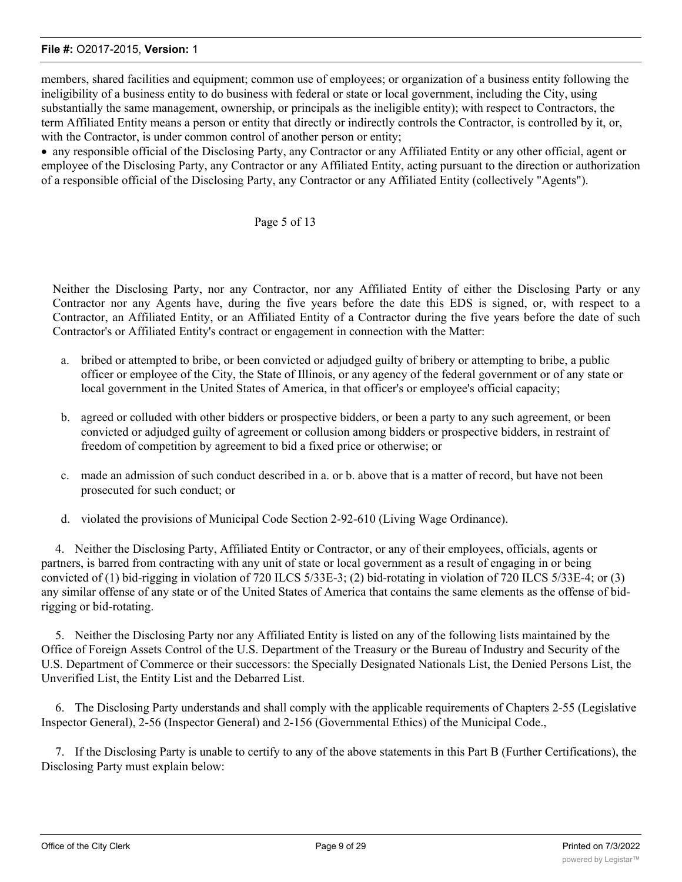members, shared facilities and equipment; common use of employees; or organization of a business entity following the ineligibility of a business entity to do business with federal or state or local government, including the City, using substantially the same management, ownership, or principals as the ineligible entity); with respect to Contractors, the term Affiliated Entity means a person or entity that directly or indirectly controls the Contractor, is controlled by it, or, with the Contractor, is under common control of another person or entity;

· any responsible official of the Disclosing Party, any Contractor or any Affiliated Entity or any other official, agent or employee of the Disclosing Party, any Contractor or any Affiliated Entity, acting pursuant to the direction or authorization of a responsible official of the Disclosing Party, any Contractor or any Affiliated Entity (collectively "Agents").

## Page 5 of 13

Neither the Disclosing Party, nor any Contractor, nor any Affiliated Entity of either the Disclosing Party or any Contractor nor any Agents have, during the five years before the date this EDS is signed, or, with respect to a Contractor, an Affiliated Entity, or an Affiliated Entity of a Contractor during the five years before the date of such Contractor's or Affiliated Entity's contract or engagement in connection with the Matter:

- a. bribed or attempted to bribe, or been convicted or adjudged guilty of bribery or attempting to bribe, a public officer or employee of the City, the State of Illinois, or any agency of the federal government or of any state or local government in the United States of America, in that officer's or employee's official capacity;
- b. agreed or colluded with other bidders or prospective bidders, or been a party to any such agreement, or been convicted or adjudged guilty of agreement or collusion among bidders or prospective bidders, in restraint of freedom of competition by agreement to bid a fixed price or otherwise; or
- c. made an admission of such conduct described in a. or b. above that is a matter of record, but have not been prosecuted for such conduct; or
- d. violated the provisions of Municipal Code Section 2-92-610 (Living Wage Ordinance).

4. Neither the Disclosing Party, Affiliated Entity or Contractor, or any of their employees, officials, agents or partners, is barred from contracting with any unit of state or local government as a result of engaging in or being convicted of (1) bid-rigging in violation of 720 ILCS 5/33E-3; (2) bid-rotating in violation of 720 ILCS 5/33E-4; or (3) any similar offense of any state or of the United States of America that contains the same elements as the offense of bidrigging or bid-rotating.

5. Neither the Disclosing Party nor any Affiliated Entity is listed on any of the following lists maintained by the Office of Foreign Assets Control of the U.S. Department of the Treasury or the Bureau of Industry and Security of the U.S. Department of Commerce or their successors: the Specially Designated Nationals List, the Denied Persons List, the Unverified List, the Entity List and the Debarred List.

6. The Disclosing Party understands and shall comply with the applicable requirements of Chapters 2-55 (Legislative Inspector General), 2-56 (Inspector General) and 2-156 (Governmental Ethics) of the Municipal Code.,

7. If the Disclosing Party is unable to certify to any of the above statements in this Part B (Further Certifications), the Disclosing Party must explain below: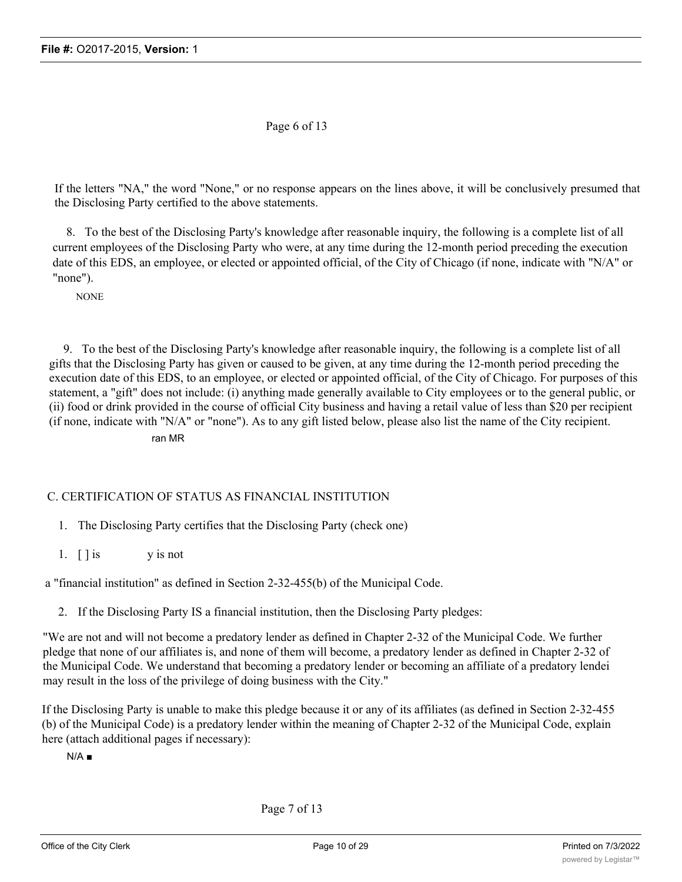Page 6 of 13

If the letters "NA," the word "None," or no response appears on the lines above, it will be conclusively presumed that the Disclosing Party certified to the above statements.

8. To the best of the Disclosing Party's knowledge after reasonable inquiry, the following is a complete list of all current employees of the Disclosing Party who were, at any time during the 12-month period preceding the execution date of this EDS, an employee, or elected or appointed official, of the City of Chicago (if none, indicate with "N/A" or "none").

**NONE** 

9. To the best of the Disclosing Party's knowledge after reasonable inquiry, the following is a complete list of all gifts that the Disclosing Party has given or caused to be given, at any time during the 12-month period preceding the execution date of this EDS, to an employee, or elected or appointed official, of the City of Chicago. For purposes of this statement, a "gift" does not include: (i) anything made generally available to City employees or to the general public, or (ii) food or drink provided in the course of official City business and having a retail value of less than \$20 per recipient (if none, indicate with "N/A" or "none"). As to any gift listed below, please also list the name of the City recipient.

ran MR

## C. CERTIFICATION OF STATUS AS FINANCIAL INSTITUTION

- 1. The Disclosing Party certifies that the Disclosing Party (check one)
- 1.  $\lceil \cdot \rceil$  is y is not

a "financial institution" as defined in Section 2-32-455(b) of the Municipal Code.

2. If the Disclosing Party IS a financial institution, then the Disclosing Party pledges:

"We are not and will not become a predatory lender as defined in Chapter 2-32 of the Municipal Code. We further pledge that none of our affiliates is, and none of them will become, a predatory lender as defined in Chapter 2-32 of the Municipal Code. We understand that becoming a predatory lender or becoming an affiliate of a predatory lendei may result in the loss of the privilege of doing business with the City."

If the Disclosing Party is unable to make this pledge because it or any of its affiliates (as defined in Section 2-32-455 (b) of the Municipal Code) is a predatory lender within the meaning of Chapter 2-32 of the Municipal Code, explain here (attach additional pages if necessary):

 $N/A$   $\blacksquare$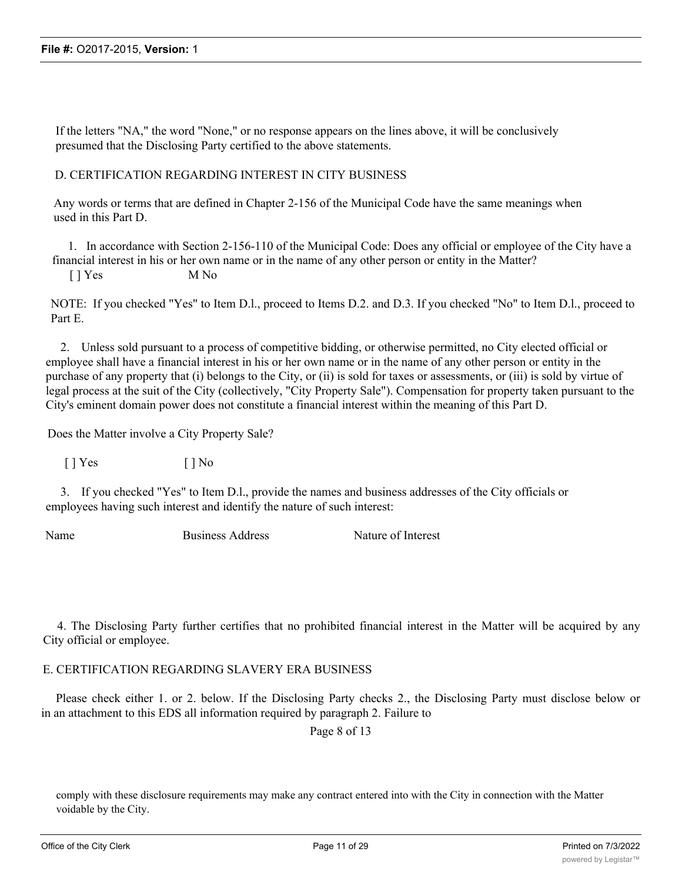If the letters "NA," the word "None," or no response appears on the lines above, it will be conclusively presumed that the Disclosing Party certified to the above statements.

## D. CERTIFICATION REGARDING INTEREST IN CITY BUSINESS

Any words or terms that are defined in Chapter 2-156 of the Municipal Code have the same meanings when used in this Part D.

1. In accordance with Section 2-156-110 of the Municipal Code: Does any official or employee of the City have a financial interest in his or her own name or in the name of any other person or entity in the Matter?

[ ] Yes M No

NOTE: If you checked "Yes" to Item D.l., proceed to Items D.2. and D.3. If you checked "No" to Item D.l., proceed to Part E.

2. Unless sold pursuant to a process of competitive bidding, or otherwise permitted, no City elected official or employee shall have a financial interest in his or her own name or in the name of any other person or entity in the purchase of any property that (i) belongs to the City, or (ii) is sold for taxes or assessments, or (iii) is sold by virtue of legal process at the suit of the City (collectively, "City Property Sale"). Compensation for property taken pursuant to the City's eminent domain power does not constitute a financial interest within the meaning of this Part D.

Does the Matter involve a City Property Sale?

 $[\ ]$  Yes  $[\ ]$  No

3. If you checked "Yes" to Item D.l., provide the names and business addresses of the City officials or employees having such interest and identify the nature of such interest:

Name Business Address Nature of Interest

4. The Disclosing Party further certifies that no prohibited financial interest in the Matter will be acquired by any City official or employee.

## E. CERTIFICATION REGARDING SLAVERY ERA BUSINESS

Please check either 1. or 2. below. If the Disclosing Party checks 2., the Disclosing Party must disclose below or in an attachment to this EDS all information required by paragraph 2. Failure to

Page 8 of 13

comply with these disclosure requirements may make any contract entered into with the City in connection with the Matter voidable by the City.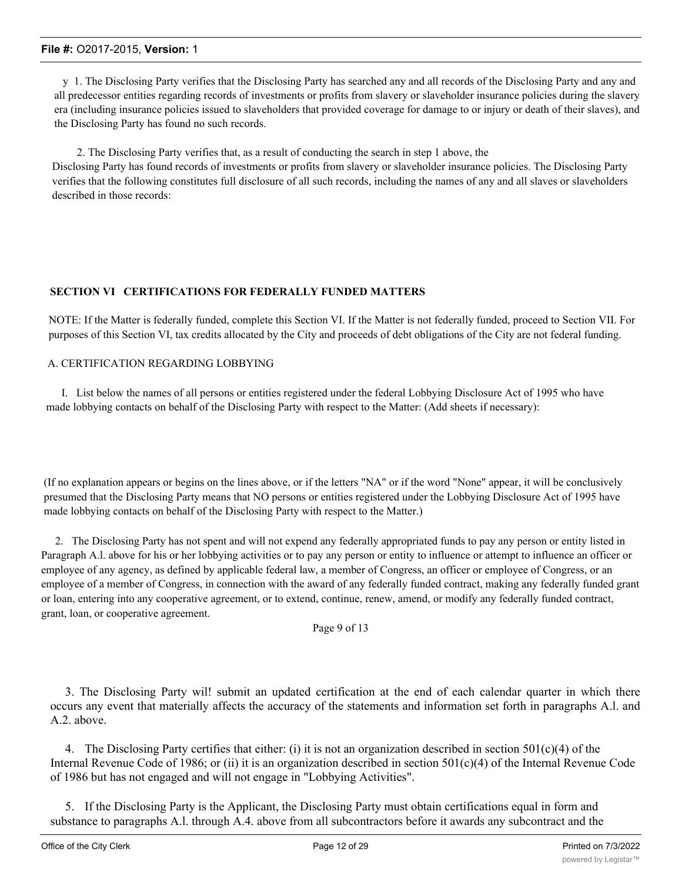y 1. The Disclosing Party verifies that the Disclosing Party has searched any and all records of the Disclosing Party and any and all predecessor entities regarding records of investments or profits from slavery or slaveholder insurance policies during the slavery era (including insurance policies issued to slaveholders that provided coverage for damage to or injury or death of their slaves), and the Disclosing Party has found no such records.

2. The Disclosing Party verifies that, as a result of conducting the search in step 1 above, the Disclosing Party has found records of investments or profits from slavery or slaveholder insurance policies. The Disclosing Party verifies that the following constitutes full disclosure of all such records, including the names of any and all slaves or slaveholders described in those records:

## **SECTION VI CERTIFICATIONS FOR FEDERALLY FUNDED MATTERS**

NOTE: If the Matter is federally funded, complete this Section VI. If the Matter is not federally funded, proceed to Section VII. For purposes of this Section VI, tax credits allocated by the City and proceeds of debt obligations of the City are not federal funding.

## A. CERTIFICATION REGARDING LOBBYING

I. List below the names of all persons or entities registered under the federal Lobbying Disclosure Act of 1995 who have made lobbying contacts on behalf of the Disclosing Party with respect to the Matter: (Add sheets if necessary):

(If no explanation appears or begins on the lines above, or if the letters "NA" or if the word "None" appear, it will be conclusively presumed that the Disclosing Party means that NO persons or entities registered under the Lobbying Disclosure Act of 1995 have made lobbying contacts on behalf of the Disclosing Party with respect to the Matter.)

2. The Disclosing Party has not spent and will not expend any federally appropriated funds to pay any person or entity listed in Paragraph A.l. above for his or her lobbying activities or to pay any person or entity to influence or attempt to influence an officer or employee of any agency, as defined by applicable federal law, a member of Congress, an officer or employee of Congress, or an employee of a member of Congress, in connection with the award of any federally funded contract, making any federally funded grant or loan, entering into any cooperative agreement, or to extend, continue, renew, amend, or modify any federally funded contract, grant, loan, or cooperative agreement.

Page 9 of 13

3. The Disclosing Party wil! submit an updated certification at the end of each calendar quarter in which there occurs any event that materially affects the accuracy of the statements and information set forth in paragraphs A.l. and A.2. above.

4. The Disclosing Party certifies that either: (i) it is not an organization described in section  $501(c)(4)$  of the Internal Revenue Code of 1986; or (ii) it is an organization described in section 501(c)(4) of the Internal Revenue Code of 1986 but has not engaged and will not engage in "Lobbying Activities".

5. If the Disclosing Party is the Applicant, the Disclosing Party must obtain certifications equal in form and substance to paragraphs A.l. through A.4. above from all subcontractors before it awards any subcontract and the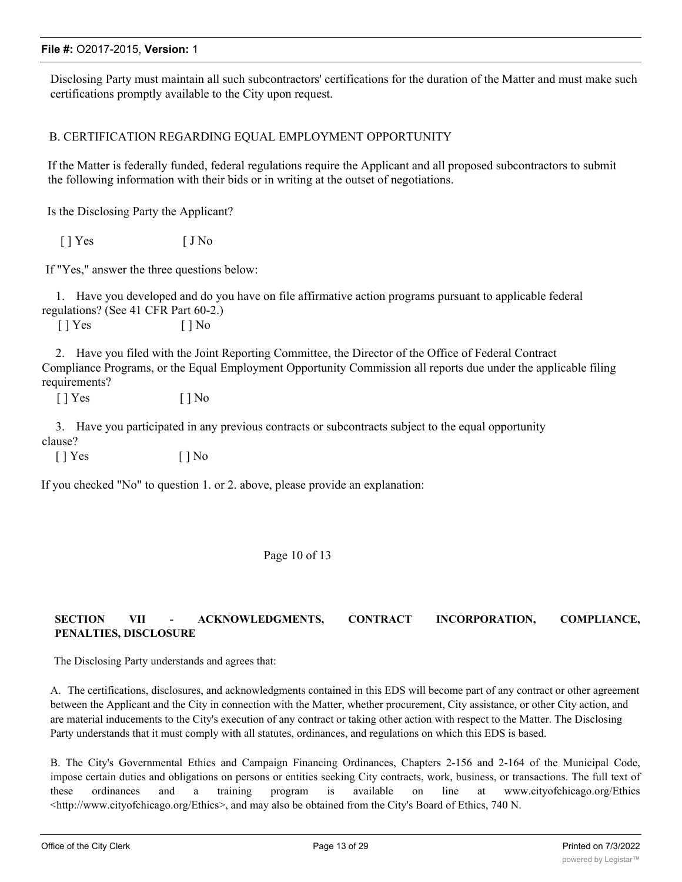Disclosing Party must maintain all such subcontractors' certifications for the duration of the Matter and must make such certifications promptly available to the City upon request.

## B. CERTIFICATION REGARDING EQUAL EMPLOYMENT OPPORTUNITY

If the Matter is federally funded, federal regulations require the Applicant and all proposed subcontractors to submit the following information with their bids or in writing at the outset of negotiations.

Is the Disclosing Party the Applicant?

 $[ ]$  Yes  $[ ]$  No

If "Yes," answer the three questions below:

1. Have you developed and do you have on file affirmative action programs pursuant to applicable federal regulations? (See 41 CFR Part 60-2.)

 $[$  ] Yes  $[$  ] No

2. Have you filed with the Joint Reporting Committee, the Director of the Office of Federal Contract Compliance Programs, or the Equal Employment Opportunity Commission all reports due under the applicable filing requirements?

 $[ ]$  Yes  $[ ]$  No

3. Have you participated in any previous contracts or subcontracts subject to the equal opportunity clause?

 $[ ]$  Yes  $[ ]$  No

If you checked "No" to question 1. or 2. above, please provide an explanation:

#### Page 10 of 13

## **SECTION VII - ACKNOWLEDGMENTS, CONTRACT INCORPORATION, COMPLIANCE, PENALTIES, DISCLOSURE**

The Disclosing Party understands and agrees that:

A. The certifications, disclosures, and acknowledgments contained in this EDS will become part of any contract or other agreement between the Applicant and the City in connection with the Matter, whether procurement, City assistance, or other City action, and are material inducements to the City's execution of any contract or taking other action with respect to the Matter. The Disclosing Party understands that it must comply with all statutes, ordinances, and regulations on which this EDS is based.

B. The City's Governmental Ethics and Campaign Financing Ordinances, Chapters 2-156 and 2-164 of the Municipal Code, impose certain duties and obligations on persons or entities seeking City contracts, work, business, or transactions. The full text of these ordinances and a training program is available on line at www.cityofchicago.org/Ethics  $\lt$ http://www.cityofchicago.org/Ethics>, and may also be obtained from the City's Board of Ethics, 740 N.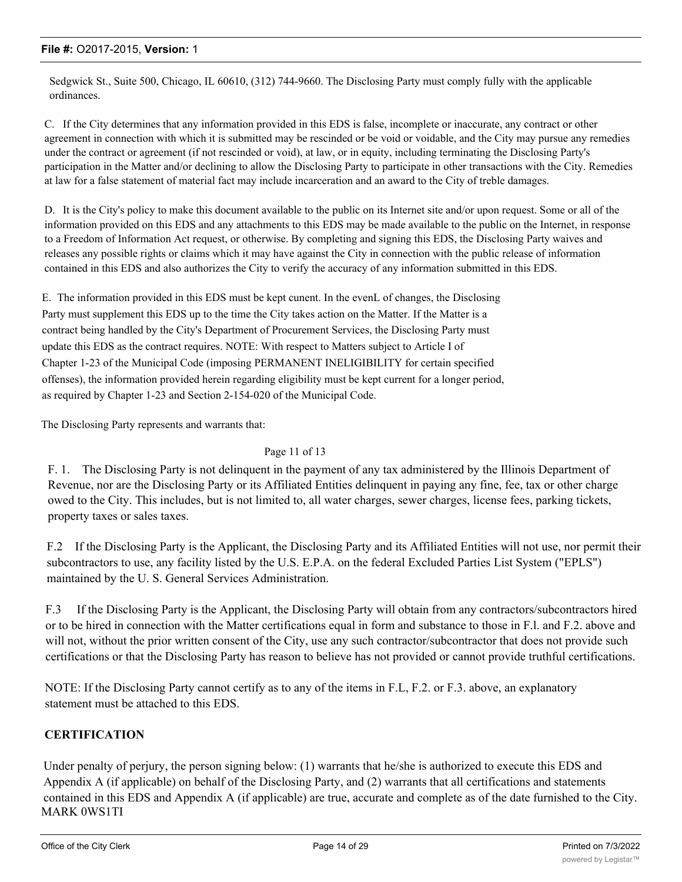Sedgwick St., Suite 500, Chicago, IL 60610, (312) 744-9660. The Disclosing Party must comply fully with the applicable ordinances.

C. If the City determines that any information provided in this EDS is false, incomplete or inaccurate, any contract or other agreement in connection with which it is submitted may be rescinded or be void or voidable, and the City may pursue any remedies under the contract or agreement (if not rescinded or void), at law, or in equity, including terminating the Disclosing Party's participation in the Matter and/or declining to allow the Disclosing Party to participate in other transactions with the City. Remedies at law for a false statement of material fact may include incarceration and an award to the City of treble damages.

D. It is the City's policy to make this document available to the public on its Internet site and/or upon request. Some or all of the information provided on this EDS and any attachments to this EDS may be made available to the public on the Internet, in response to a Freedom of Information Act request, or otherwise. By completing and signing this EDS, the Disclosing Party waives and releases any possible rights or claims which it may have against the City in connection with the public release of information contained in this EDS and also authorizes the City to verify the accuracy of any information submitted in this EDS.

E. The information provided in this EDS must be kept cunent. In the evenL of changes, the Disclosing Party must supplement this EDS up to the time the City takes action on the Matter. If the Matter is a contract being handled by the City's Department of Procurement Services, the Disclosing Party must update this EDS as the contract requires. NOTE: With respect to Matters subject to Article I of Chapter 1-23 of the Municipal Code (imposing PERMANENT INELIGIBILITY for certain specified offenses), the information provided herein regarding eligibility must be kept current for a longer period, as required by Chapter 1-23 and Section 2-154-020 of the Municipal Code.

The Disclosing Party represents and warrants that:

#### Page 11 of 13

F. 1. The Disclosing Party is not delinquent in the payment of any tax administered by the Illinois Department of Revenue, nor are the Disclosing Party or its Affiliated Entities delinquent in paying any fine, fee, tax or other charge owed to the City. This includes, but is not limited to, all water charges, sewer charges, license fees, parking tickets, property taxes or sales taxes.

F.2 If the Disclosing Party is the Applicant, the Disclosing Party and its Affiliated Entities will not use, nor permit their subcontractors to use, any facility listed by the U.S. E.P.A. on the federal Excluded Parties List System ("EPLS") maintained by the U. S. General Services Administration.

F.3 If the Disclosing Party is the Applicant, the Disclosing Party will obtain from any contractors/subcontractors hired or to be hired in connection with the Matter certifications equal in form and substance to those in F.l. and F.2. above and will not, without the prior written consent of the City, use any such contractor/subcontractor that does not provide such certifications or that the Disclosing Party has reason to believe has not provided or cannot provide truthful certifications.

NOTE: If the Disclosing Party cannot certify as to any of the items in F.L, F.2. or F.3. above, an explanatory statement must be attached to this EDS.

## **CERTIFICATION**

Under penalty of perjury, the person signing below: (1) warrants that he/she is authorized to execute this EDS and Appendix A (if applicable) on behalf of the Disclosing Party, and (2) warrants that all certifications and statements contained in this EDS and Appendix A (if applicable) are true, accurate and complete as of the date furnished to the City. MARK 0WS1TI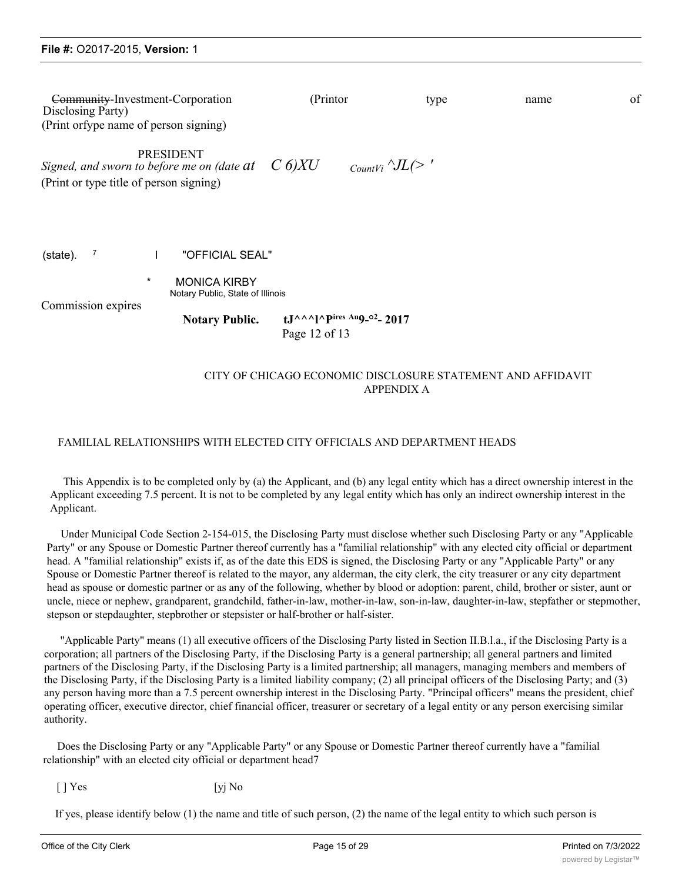| Community-Investment-Corporation<br>Disclosing Party)<br>(Print orfype name of person signing) |                                                                                                     | (Printor)                                                                                         | type | name | of |
|------------------------------------------------------------------------------------------------|-----------------------------------------------------------------------------------------------------|---------------------------------------------------------------------------------------------------|------|------|----|
| (Print or type title of person signing)                                                        | <b>PRESIDENT</b><br>Signed, and sworn to before me on (date at $C_0(XU)$                            | CountVi $\Delta L$ (>'                                                                            |      |      |    |
| 7<br>(state).<br>$\star$<br>Commission expires                                                 | "OFFICIAL SEAL"<br><b>MONICA KIRBY</b><br>Notary Public, State of Illinois<br><b>Notary Public.</b> | $tJ^{\wedge\wedge\wedge}$ ] $\wedge$ Pires Au9_02_2017                                            |      |      |    |
|                                                                                                |                                                                                                     | Page 12 of 13<br>CITY OF CHICAGO ECONOMIC DISCLOSURE STATEMENT AND AFFIDAVIT<br><b>APPENDIX A</b> |      |      |    |

## FAMILIAL RELATIONSHIPS WITH ELECTED CITY OFFICIALS AND DEPARTMENT HEADS

This Appendix is to be completed only by (a) the Applicant, and (b) any legal entity which has a direct ownership interest in the Applicant exceeding 7.5 percent. It is not to be completed by any legal entity which has only an indirect ownership interest in the Applicant.

Under Municipal Code Section 2-154-015, the Disclosing Party must disclose whether such Disclosing Party or any "Applicable Party" or any Spouse or Domestic Partner thereof currently has a "familial relationship" with any elected city official or department head. A "familial relationship" exists if, as of the date this EDS is signed, the Disclosing Party or any "Applicable Party" or any Spouse or Domestic Partner thereof is related to the mayor, any alderman, the city clerk, the city treasurer or any city department head as spouse or domestic partner or as any of the following, whether by blood or adoption: parent, child, brother or sister, aunt or uncle, niece or nephew, grandparent, grandchild, father-in-law, mother-in-law, son-in-law, daughter-in-law, stepfather or stepmother, stepson or stepdaughter, stepbrother or stepsister or half-brother or half-sister.

"Applicable Party" means (1) all executive officers of the Disclosing Party listed in Section II.B.l.a., if the Disclosing Party is a corporation; all partners of the Disclosing Party, if the Disclosing Party is a general partnership; all general partners and limited partners of the Disclosing Party, if the Disclosing Party is a limited partnership; all managers, managing members and members of the Disclosing Party, if the Disclosing Party is a limited liability company; (2) all principal officers of the Disclosing Party; and (3) any person having more than a 7.5 percent ownership interest in the Disclosing Party. "Principal officers" means the president, chief operating officer, executive director, chief financial officer, treasurer or secretary of a legal entity or any person exercising similar authority.

Does the Disclosing Party or any "Applicable Party" or any Spouse or Domestic Partner thereof currently have a "familial relationship" with an elected city official or department head7

 $\lceil \cdot \rceil$  Yes [yj No

If yes, please identify below (1) the name and title of such person, (2) the name of the legal entity to which such person is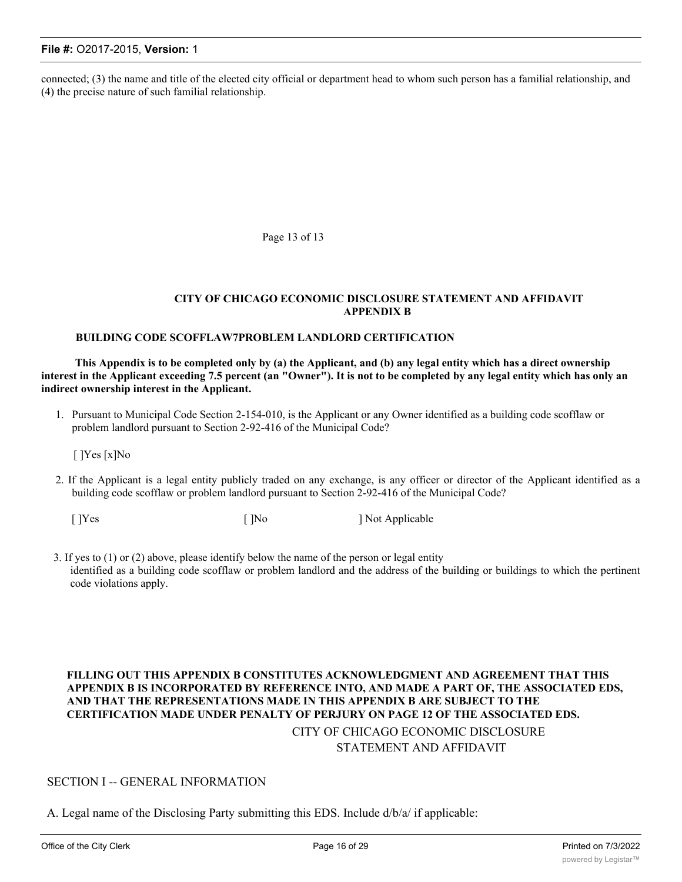connected; (3) the name and title of the elected city official or department head to whom such person has a familial relationship, and (4) the precise nature of such familial relationship.

Page 13 of 13

#### **CITY OF CHICAGO ECONOMIC DISCLOSURE STATEMENT AND AFFIDAVIT APPENDIX B**

#### **BUILDING CODE SCOFFLAW7PROBLEM LANDLORD CERTIFICATION**

**This Appendix is to be completed only by (a) the Applicant, and (b) any legal entity which has a direct ownership interest in the Applicant exceeding 7.5 percent (an "Owner"). It is not to be completed by any legal entity which has only an indirect ownership interest in the Applicant.**

1. Pursuant to Municipal Code Section 2-154-010, is the Applicant or any Owner identified as a building code scofflaw or problem landlord pursuant to Section 2-92-416 of the Municipal Code?

[ ]Yes [x]No

2. If the Applicant is a legal entity publicly traded on any exchange, is any officer or director of the Applicant identified as a building code scofflaw or problem landlord pursuant to Section 2-92-416 of the Municipal Code?

[ ]Yes [ ]No ] Not Applicable

3. If yes to (1) or (2) above, please identify below the name of the person or legal entity identified as a building code scofflaw or problem landlord and the address of the building or buildings to which the pertinent code violations apply.

## **FILLING OUT THIS APPENDIX B CONSTITUTES ACKNOWLEDGMENT AND AGREEMENT THAT THIS APPENDIX B IS INCORPORATED BY REFERENCE INTO, AND MADE A PART OF, THE ASSOCIATED EDS, AND THAT THE REPRESENTATIONS MADE IN THIS APPENDIX B ARE SUBJECT TO THE CERTIFICATION MADE UNDER PENALTY OF PERJURY ON PAGE 12 OF THE ASSOCIATED EDS.** CITY OF CHICAGO ECONOMIC DISCLOSURE STATEMENT AND AFFIDAVIT

#### SECTION I -- GENERAL INFORMATION

A. Legal name of the Disclosing Party submitting this EDS. Include d/b/a/ if applicable: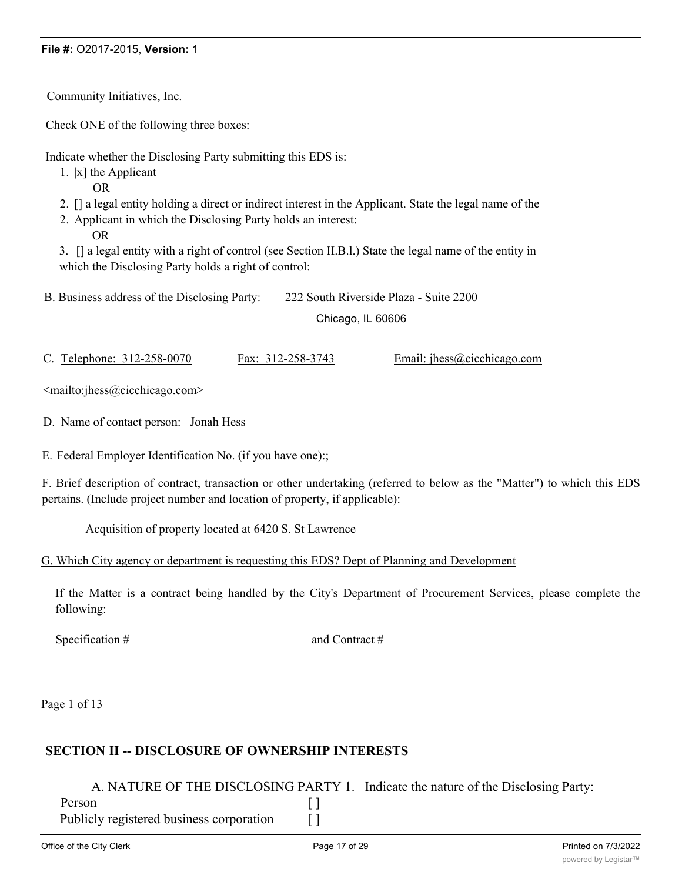Community Initiatives, Inc.

Check ONE of the following three boxes:

Indicate whether the Disclosing Party submitting this EDS is:

1. |x] the Applicant

OR

- 2. [] a legal entity holding a direct or indirect interest in the Applicant. State the legal name of the
- 2. Applicant in which the Disclosing Party holds an interest: OR

3. [] a legal entity with a right of control (see Section II.B.l.) State the legal name of the entity in which the Disclosing Party holds a right of control:

B. Business address of the Disclosing Party: 222 South Riverside Plaza - Suite 2200 Chicago, IL 60606

C. Telephone: 312-258-0070 Fax: 312-258-3743 Email: jhess@cicchicago.com

<mailto:jhess@cicchicago.com>

D. Name of contact person: Jonah Hess

E. Federal Employer Identification No. (if you have one):;

F. Brief description of contract, transaction or other undertaking (referred to below as the "Matter") to which this EDS pertains. (Include project number and location of property, if applicable):

Acquisition of property located at 6420 S. St Lawrence

## G. Which City agency or department is requesting this EDS? Dept of Planning and Development

If the Matter is a contract being handled by the City's Department of Procurement Services, please complete the following:

Specification # and Contract #

Page 1 of 13

## **SECTION II -- DISCLOSURE OF OWNERSHIP INTERESTS**

A. NATURE OF THE DISCLOSING PARTY 1. Indicate the nature of the Disclosing Party: Person [ ]

Publicly registered business corporation [ ]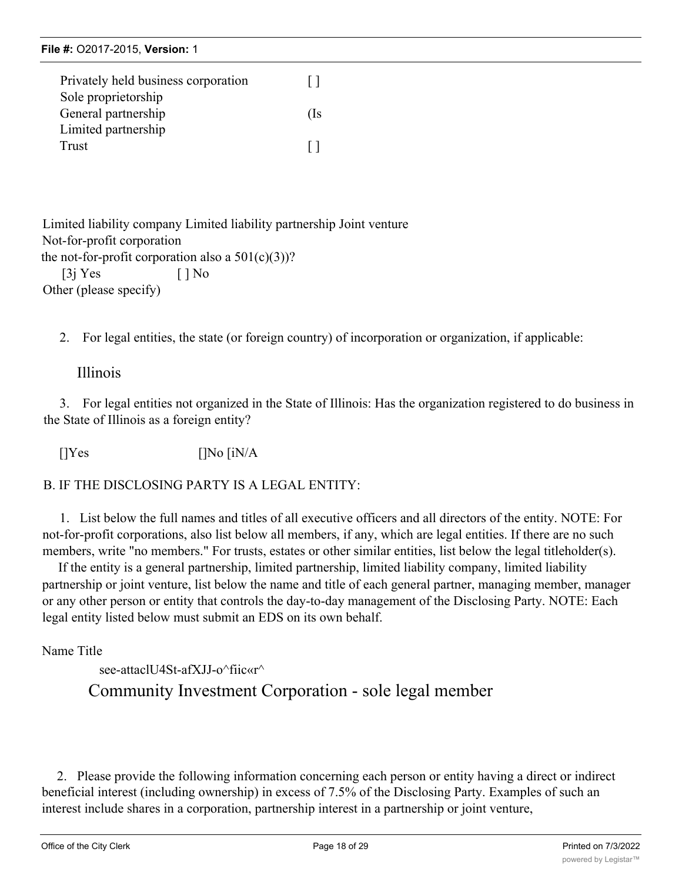|  | File #: 02017-2015, Version: 1 |  |
|--|--------------------------------|--|
|--|--------------------------------|--|

| Privately held business corporation | $\perp$      |
|-------------------------------------|--------------|
| Sole proprietorship                 |              |
| General partnership                 | (Is          |
| Limited partnership                 |              |
| Trust                               | $\mathbf{I}$ |

Limited liability company Limited liability partnership Joint venture Not-for-profit corporation the not-for-profit corporation also a  $501(c)(3)$ ?  $[3j \text{Yes} \qquad [ ]$  No Other (please specify)

2. For legal entities, the state (or foreign country) of incorporation or organization, if applicable:

## Illinois

3. For legal entities not organized in the State of Illinois: Has the organization registered to do business in the State of Illinois as a foreign entity?

 $[]Yes$   $[]No [iN/A]$ 

B. IF THE DISCLOSING PARTY IS A LEGAL ENTITY:

1. List below the full names and titles of all executive officers and all directors of the entity. NOTE: For not-for-profit corporations, also list below all members, if any, which are legal entities. If there are no such members, write "no members." For trusts, estates or other similar entities, list below the legal titleholder(s).

If the entity is a general partnership, limited partnership, limited liability company, limited liability partnership or joint venture, list below the name and title of each general partner, managing member, manager or any other person or entity that controls the day-to-day management of the Disclosing Party. NOTE: Each legal entity listed below must submit an EDS on its own behalf.

Name Title

see-attaclU4St-afXII-o^fiic«r^ Community Investment Corporation - sole legal member

2. Please provide the following information concerning each person or entity having a direct or indirect beneficial interest (including ownership) in excess of 7.5% of the Disclosing Party. Examples of such an interest include shares in a corporation, partnership interest in a partnership or joint venture,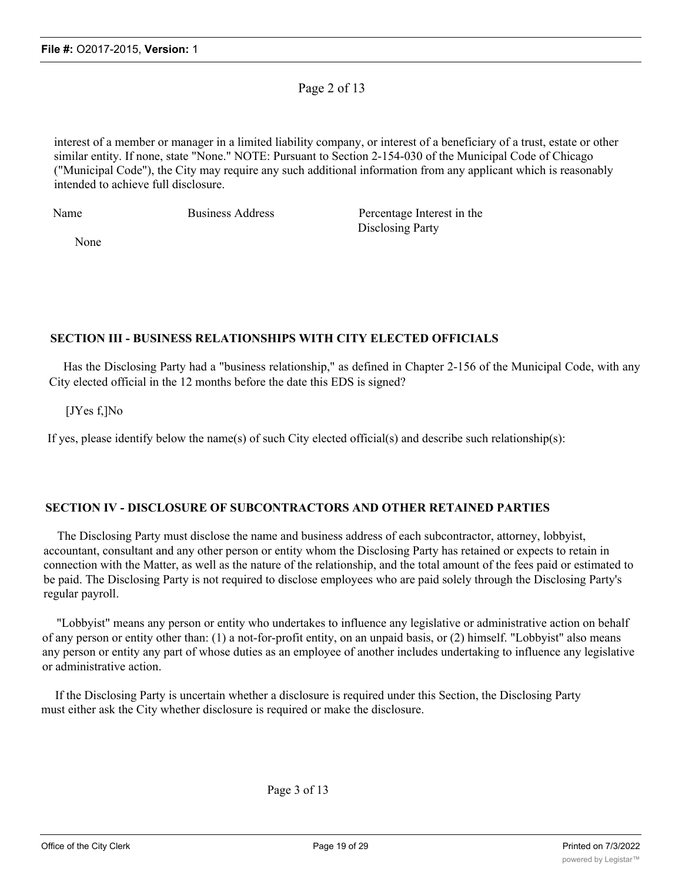## Page 2 of 13

interest of a member or manager in a limited liability company, or interest of a beneficiary of a trust, estate or other similar entity. If none, state "None." NOTE: Pursuant to Section 2-154-030 of the Municipal Code of Chicago ("Municipal Code"), the City may require any such additional information from any applicant which is reasonably intended to achieve full disclosure.

Name Business Address Percentage Interest in the Disclosing Party

None

## **SECTION III - BUSINESS RELATIONSHIPS WITH CITY ELECTED OFFICIALS**

Has the Disclosing Party had a "business relationship," as defined in Chapter 2-156 of the Municipal Code, with any City elected official in the 12 months before the date this EDS is signed?

[JYes f,]No

If yes, please identify below the name(s) of such City elected official(s) and describe such relationship(s):

## **SECTION IV - DISCLOSURE OF SUBCONTRACTORS AND OTHER RETAINED PARTIES**

The Disclosing Party must disclose the name and business address of each subcontractor, attorney, lobbyist, accountant, consultant and any other person or entity whom the Disclosing Party has retained or expects to retain in connection with the Matter, as well as the nature of the relationship, and the total amount of the fees paid or estimated to be paid. The Disclosing Party is not required to disclose employees who are paid solely through the Disclosing Party's regular payroll.

"Lobbyist" means any person or entity who undertakes to influence any legislative or administrative action on behalf of any person or entity other than: (1) a not-for-profit entity, on an unpaid basis, or (2) himself. "Lobbyist" also means any person or entity any part of whose duties as an employee of another includes undertaking to influence any legislative or administrative action.

If the Disclosing Party is uncertain whether a disclosure is required under this Section, the Disclosing Party must either ask the City whether disclosure is required or make the disclosure.

Page 3 of 13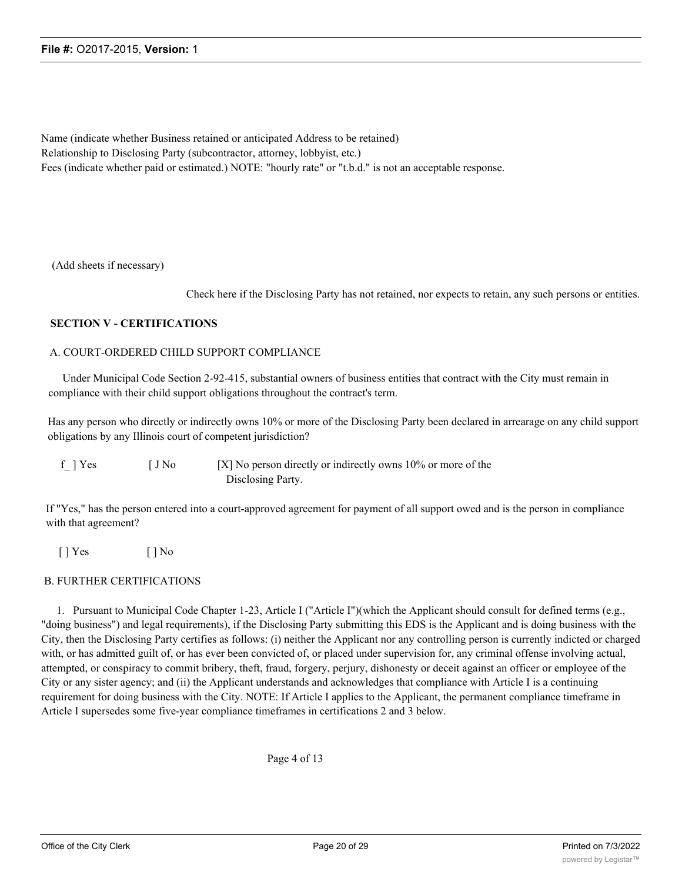Name (indicate whether Business retained or anticipated Address to be retained) Relationship to Disclosing Party (subcontractor, attorney, lobbyist, etc.) Fees (indicate whether paid or estimated.) NOTE: "hourly rate" or "t.b.d." is not an acceptable response.

(Add sheets if necessary)

Check here if the Disclosing Party has not retained, nor expects to retain, any such persons or entities.

#### **SECTION V - CERTIFICATIONS**

#### A. COURT-ORDERED CHILD SUPPORT COMPLIANCE

Under Municipal Code Section 2-92-415, substantial owners of business entities that contract with the City must remain in compliance with their child support obligations throughout the contract's term.

Has any person who directly or indirectly owns 10% or more of the Disclosing Party been declared in arrearage on any child support obligations by any Illinois court of competent jurisdiction?

| f ] Yes | [ J No | $[X]$ No person directly or indirectly owns 10% or more of the |
|---------|--------|----------------------------------------------------------------|
|         |        | Disclosing Party.                                              |

If "Yes," has the person entered into a court-approved agreement for payment of all support owed and is the person in compliance with that agreement?

 $[$  | Yes  $[$  | No

#### B. FURTHER CERTIFICATIONS

1. Pursuant to Municipal Code Chapter 1-23, Article I ("Article I")(which the Applicant should consult for defined terms (e.g., "doing business") and legal requirements), if the Disclosing Party submitting this EDS is the Applicant and is doing business with the City, then the Disclosing Party certifies as follows: (i) neither the Applicant nor any controlling person is currently indicted or charged with, or has admitted guilt of, or has ever been convicted of, or placed under supervision for, any criminal offense involving actual, attempted, or conspiracy to commit bribery, theft, fraud, forgery, perjury, dishonesty or deceit against an officer or employee of the City or any sister agency; and (ii) the Applicant understands and acknowledges that compliance with Article I is a continuing requirement for doing business with the City. NOTE: If Article I applies to the Applicant, the permanent compliance timeframe in Article I supersedes some five-year compliance timeframes in certifications 2 and 3 below.

Page 4 of 13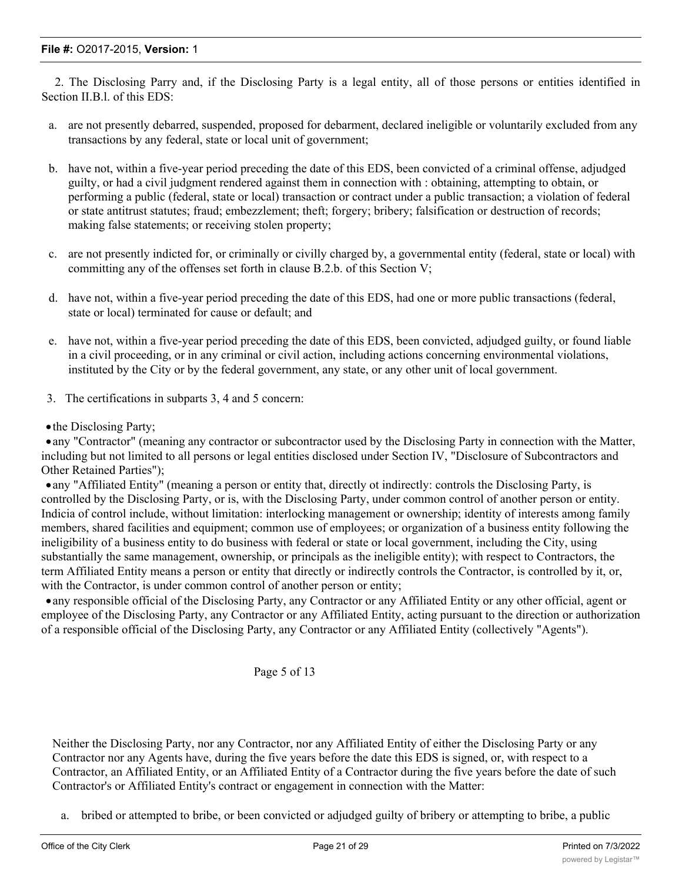2. The Disclosing Parry and, if the Disclosing Party is a legal entity, all of those persons or entities identified in Section II.B.l. of this EDS:

- a. are not presently debarred, suspended, proposed for debarment, declared ineligible or voluntarily excluded from any transactions by any federal, state or local unit of government;
- b. have not, within a five-year period preceding the date of this EDS, been convicted of a criminal offense, adjudged guilty, or had a civil judgment rendered against them in connection with : obtaining, attempting to obtain, or performing a public (federal, state or local) transaction or contract under a public transaction; a violation of federal or state antitrust statutes; fraud; embezzlement; theft; forgery; bribery; falsification or destruction of records; making false statements; or receiving stolen property;
- c. are not presently indicted for, or criminally or civilly charged by, a governmental entity (federal, state or local) with committing any of the offenses set forth in clause B.2.b. of this Section V;
- d. have not, within a five-year period preceding the date of this EDS, had one or more public transactions (federal, state or local) terminated for cause or default; and
- e. have not, within a five-year period preceding the date of this EDS, been convicted, adjudged guilty, or found liable in a civil proceeding, or in any criminal or civil action, including actions concerning environmental violations, instituted by the City or by the federal government, any state, or any other unit of local government.
- 3. The certifications in subparts 3, 4 and 5 concern:

• the Disclosing Party;

·any "Contractor" (meaning any contractor or subcontractor used by the Disclosing Party in connection with the Matter, including but not limited to all persons or legal entities disclosed under Section IV, "Disclosure of Subcontractors and Other Retained Parties");

·any "Affiliated Entity" (meaning a person or entity that, directly ot indirectly: controls the Disclosing Party, is controlled by the Disclosing Party, or is, with the Disclosing Party, under common control of another person or entity. Indicia of control include, without limitation: interlocking management or ownership; identity of interests among family members, shared facilities and equipment; common use of employees; or organization of a business entity following the ineligibility of a business entity to do business with federal or state or local government, including the City, using substantially the same management, ownership, or principals as the ineligible entity); with respect to Contractors, the term Affiliated Entity means a person or entity that directly or indirectly controls the Contractor, is controlled by it, or, with the Contractor, is under common control of another person or entity;

·any responsible official of the Disclosing Party, any Contractor or any Affiliated Entity or any other official, agent or employee of the Disclosing Party, any Contractor or any Affiliated Entity, acting pursuant to the direction or authorization of a responsible official of the Disclosing Party, any Contractor or any Affiliated Entity (collectively "Agents").

## Page 5 of 13

Neither the Disclosing Party, nor any Contractor, nor any Affiliated Entity of either the Disclosing Party or any Contractor nor any Agents have, during the five years before the date this EDS is signed, or, with respect to a Contractor, an Affiliated Entity, or an Affiliated Entity of a Contractor during the five years before the date of such Contractor's or Affiliated Entity's contract or engagement in connection with the Matter:

a. bribed or attempted to bribe, or been convicted or adjudged guilty of bribery or attempting to bribe, a public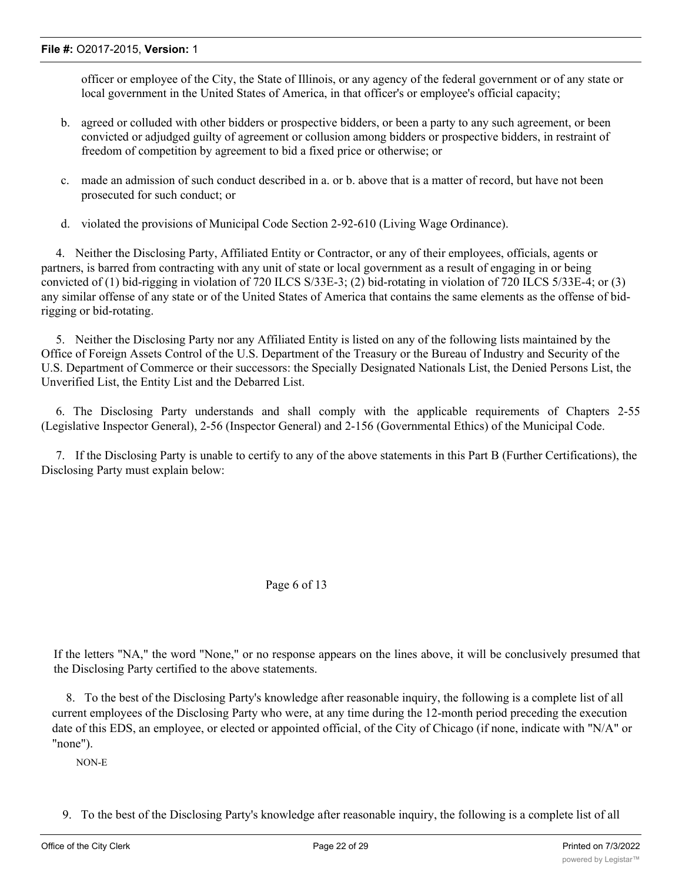officer or employee of the City, the State of Illinois, or any agency of the federal government or of any state or local government in the United States of America, in that officer's or employee's official capacity;

- b. agreed or colluded with other bidders or prospective bidders, or been a party to any such agreement, or been convicted or adjudged guilty of agreement or collusion among bidders or prospective bidders, in restraint of freedom of competition by agreement to bid a fixed price or otherwise; or
- c. made an admission of such conduct described in a. or b. above that is a matter of record, but have not been prosecuted for such conduct; or
- d. violated the provisions of Municipal Code Section 2-92-610 (Living Wage Ordinance).

4. Neither the Disclosing Party, Affiliated Entity or Contractor, or any of their employees, officials, agents or partners, is barred from contracting with any unit of state or local government as a result of engaging in or being convicted of (1) bid-rigging in violation of 720 ILCS S/33E-3; (2) bid-rotating in violation of 720 ILCS 5/33E-4; or (3) any similar offense of any state or of the United States of America that contains the same elements as the offense of bidrigging or bid-rotating.

5. Neither the Disclosing Party nor any Affiliated Entity is listed on any of the following lists maintained by the Office of Foreign Assets Control of the U.S. Department of the Treasury or the Bureau of Industry and Security of the U.S. Department of Commerce or their successors: the Specially Designated Nationals List, the Denied Persons List, the Unverified List, the Entity List and the Debarred List.

6. The Disclosing Party understands and shall comply with the applicable requirements of Chapters 2-55 (Legislative Inspector General), 2-56 (Inspector General) and 2-156 (Governmental Ethics) of the Municipal Code.

7. If the Disclosing Party is unable to certify to any of the above statements in this Part B (Further Certifications), the Disclosing Party must explain below:

## Page 6 of 13

If the letters "NA," the word "None," or no response appears on the lines above, it will be conclusively presumed that the Disclosing Party certified to the above statements.

8. To the best of the Disclosing Party's knowledge after reasonable inquiry, the following is a complete list of all current employees of the Disclosing Party who were, at any time during the 12-month period preceding the execution date of this EDS, an employee, or elected or appointed official, of the City of Chicago (if none, indicate with "N/A" or "none").

NON-E

9. To the best of the Disclosing Party's knowledge after reasonable inquiry, the following is a complete list of all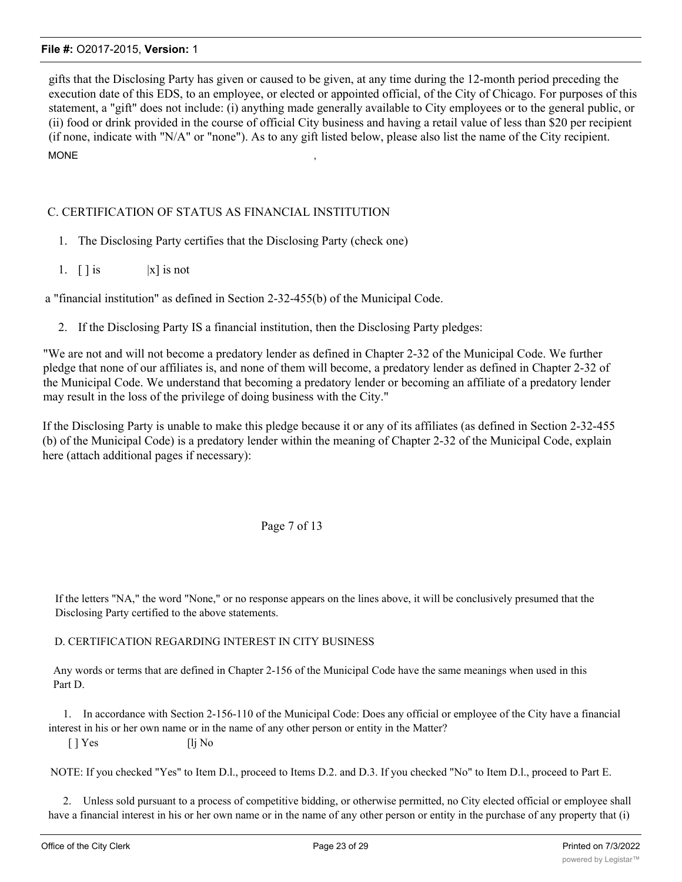gifts that the Disclosing Party has given or caused to be given, at any time during the 12-month period preceding the execution date of this EDS, to an employee, or elected or appointed official, of the City of Chicago. For purposes of this statement, a "gift" does not include: (i) anything made generally available to City employees or to the general public, or (ii) food or drink provided in the course of official City business and having a retail value of less than \$20 per recipient (if none, indicate with "N/A" or "none"). As to any gift listed below, please also list the name of the City recipient. MONE  $\,$ 

## C. CERTIFICATION OF STATUS AS FINANCIAL INSTITUTION

- 1. The Disclosing Party certifies that the Disclosing Party (check one)
- 1.  $\lceil \cdot \rceil$  is  $|x|$  is not

a "financial institution" as defined in Section 2-32-455(b) of the Municipal Code.

2. If the Disclosing Party IS a financial institution, then the Disclosing Party pledges:

"We are not and will not become a predatory lender as defined in Chapter 2-32 of the Municipal Code. We further pledge that none of our affiliates is, and none of them will become, a predatory lender as defined in Chapter 2-32 of the Municipal Code. We understand that becoming a predatory lender or becoming an affiliate of a predatory lender may result in the loss of the privilege of doing business with the City."

If the Disclosing Party is unable to make this pledge because it or any of its affiliates (as defined in Section 2-32-455 (b) of the Municipal Code) is a predatory lender within the meaning of Chapter 2-32 of the Municipal Code, explain here (attach additional pages if necessary):

## Page 7 of 13

If the letters "NA," the word "None," or no response appears on the lines above, it will be conclusively presumed that the Disclosing Party certified to the above statements.

#### D. CERTIFICATION REGARDING INTEREST IN CITY BUSINESS

Any words or terms that are defined in Chapter 2-156 of the Municipal Code have the same meanings when used in this Part D.

1. In accordance with Section 2-156-110 of the Municipal Code: Does any official or employee of the City have a financial interest in his or her own name or in the name of any other person or entity in the Matter?

 $\lceil \cdot \rceil$  Yes  $\lceil \cdot \rceil$  No

NOTE: If you checked "Yes" to Item D.l., proceed to Items D.2. and D.3. If you checked "No" to Item D.l., proceed to Part E.

2. Unless sold pursuant to a process of competitive bidding, or otherwise permitted, no City elected official or employee shall have a financial interest in his or her own name or in the name of any other person or entity in the purchase of any property that (i)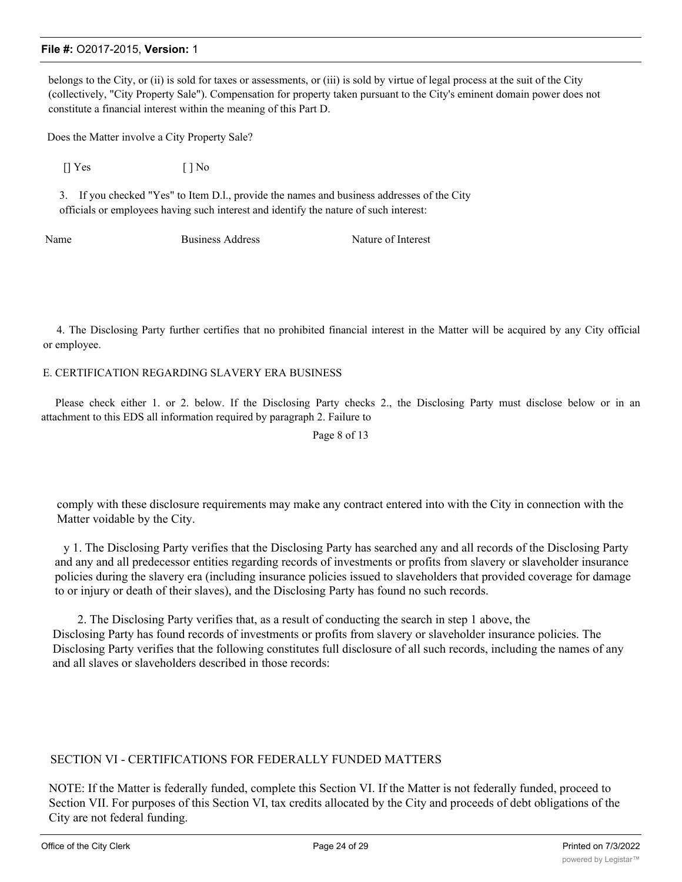belongs to the City, or (ii) is sold for taxes or assessments, or (iii) is sold by virtue of legal process at the suit of the City (collectively, "City Property Sale"). Compensation for property taken pursuant to the City's eminent domain power does not constitute a financial interest within the meaning of this Part D.

Does the Matter involve a City Property Sale?

 $[$  | Yes  $[$  | No

3. If you checked "Yes" to Item D.l., provide the names and business addresses of the City officials or employees having such interest and identify the nature of such interest:

Name Business Address Nature of Interest

4. The Disclosing Party further certifies that no prohibited financial interest in the Matter will be acquired by any City official or employee.

#### E. CERTIFICATION REGARDING SLAVERY ERA BUSINESS

Please check either 1. or 2. below. If the Disclosing Party checks 2., the Disclosing Party must disclose below or in an attachment to this EDS all information required by paragraph 2. Failure to

Page 8 of 13

comply with these disclosure requirements may make any contract entered into with the City in connection with the Matter voidable by the City.

y 1. The Disclosing Party verifies that the Disclosing Party has searched any and all records of the Disclosing Party and any and all predecessor entities regarding records of investments or profits from slavery or slaveholder insurance policies during the slavery era (including insurance policies issued to slaveholders that provided coverage for damage to or injury or death of their slaves), and the Disclosing Party has found no such records.

2. The Disclosing Party verifies that, as a result of conducting the search in step 1 above, the Disclosing Party has found records of investments or profits from slavery or slaveholder insurance policies. The Disclosing Party verifies that the following constitutes full disclosure of all such records, including the names of any and all slaves or slaveholders described in those records:

## SECTION VI - CERTIFICATIONS FOR FEDERALLY FUNDED MATTERS

NOTE: If the Matter is federally funded, complete this Section VI. If the Matter is not federally funded, proceed to Section VII. For purposes of this Section VI, tax credits allocated by the City and proceeds of debt obligations of the City are not federal funding.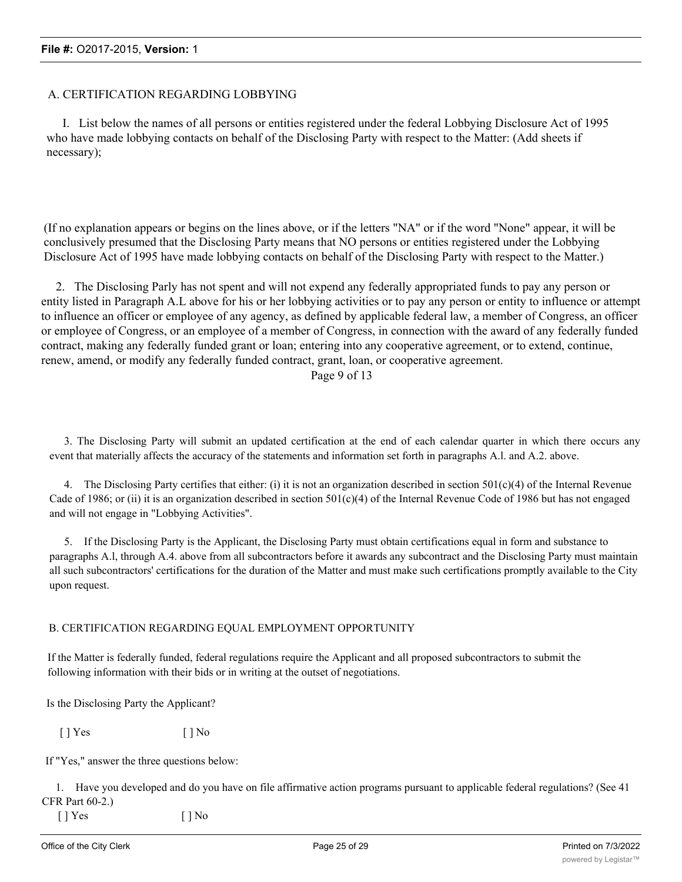## A. CERTIFICATION REGARDING LOBBYING

I. List below the names of all persons or entities registered under the federal Lobbying Disclosure Act of 1995 who have made lobbying contacts on behalf of the Disclosing Party with respect to the Matter: (Add sheets if necessary);

(If no explanation appears or begins on the lines above, or if the letters "NA" or if the word "None" appear, it will be conclusively presumed that the Disclosing Party means that NO persons or entities registered under the Lobbying Disclosure Act of 1995 have made lobbying contacts on behalf of the Disclosing Party with respect to the Matter.)

2. The Disclosing Parly has not spent and will not expend any federally appropriated funds to pay any person or entity listed in Paragraph A.L above for his or her lobbying activities or to pay any person or entity to influence or attempt to influence an officer or employee of any agency, as defined by applicable federal law, a member of Congress, an officer or employee of Congress, or an employee of a member of Congress, in connection with the award of any federally funded contract, making any federally funded grant or loan; entering into any cooperative agreement, or to extend, continue, renew, amend, or modify any federally funded contract, grant, loan, or cooperative agreement.

Page 9 of 13

3. The Disclosing Party will submit an updated certification at the end of each calendar quarter in which there occurs any event that materially affects the accuracy of the statements and information set forth in paragraphs A.l. and A.2. above.

4. The Disclosing Party certifies that either: (i) it is not an organization described in section  $501(c)(4)$  of the Internal Revenue Cade of 1986; or (ii) it is an organization described in section  $501(c)(4)$  of the Internal Revenue Code of 1986 but has not engaged and will not engage in "Lobbying Activities".

5. If the Disclosing Party is the Applicant, the Disclosing Party must obtain certifications equal in form and substance to paragraphs A.l, through A.4. above from all subcontractors before it awards any subcontract and the Disclosing Party must maintain all such subcontractors' certifications for the duration of the Matter and must make such certifications promptly available to the City upon request.

#### B. CERTIFICATION REGARDING EQUAL EMPLOYMENT OPPORTUNITY

If the Matter is federally funded, federal regulations require the Applicant and all proposed subcontractors to submit the following information with their bids or in writing at the outset of negotiations.

Is the Disclosing Party the Applicant?

 $[ ]$  Yes  $[ ]$  No

If "Yes," answer the three questions below:

1. Have you developed and do you have on file affirmative action programs pursuant to applicable federal regulations? (See 41 CFR Part 60-2.)

 $\lceil$  | Yes  $\lceil$  | No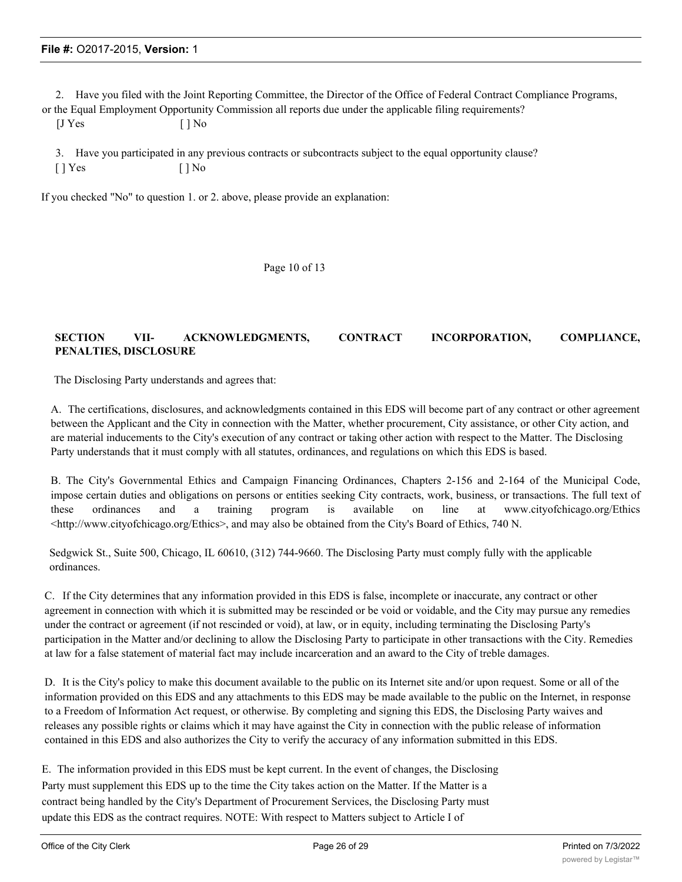2. Have you filed with the Joint Reporting Committee, the Director of the Office of Federal Contract Compliance Programs,

or the Equal Employment Opportunity Commission all reports due under the applicable filing requirements?

| [J Yes | $[ ]$ No |
|--------|----------|
|--------|----------|

3. Have you participated in any previous contracts or subcontracts subject to the equal opportunity clause?  $[$  | Yes  $[$  | No

If you checked "No" to question 1. or 2. above, please provide an explanation:

Page 10 of 13

## **SECTION VII- ACKNOWLEDGMENTS, CONTRACT INCORPORATION, COMPLIANCE, PENALTIES, DISCLOSURE**

The Disclosing Party understands and agrees that:

A. The certifications, disclosures, and acknowledgments contained in this EDS will become part of any contract or other agreement between the Applicant and the City in connection with the Matter, whether procurement, City assistance, or other City action, and are material inducements to the City's execution of any contract or taking other action with respect to the Matter. The Disclosing Party understands that it must comply with all statutes, ordinances, and regulations on which this EDS is based.

B. The City's Governmental Ethics and Campaign Financing Ordinances, Chapters 2-156 and 2-164 of the Municipal Code, impose certain duties and obligations on persons or entities seeking City contracts, work, business, or transactions. The full text of these ordinances and a training program is available on line at www.cityofchicago.org/Ethics  $\leq$ http://www.cityofchicago.org/Ethics>, and may also be obtained from the City's Board of Ethics, 740 N.

Sedgwick St., Suite 500, Chicago, IL 60610, (312) 744-9660. The Disclosing Party must comply fully with the applicable ordinances.

C. If the City determines that any information provided in this EDS is false, incomplete or inaccurate, any contract or other agreement in connection with which it is submitted may be rescinded or be void or voidable, and the City may pursue any remedies under the contract or agreement (if not rescinded or void), at law, or in equity, including terminating the Disclosing Party's participation in the Matter and/or declining to allow the Disclosing Party to participate in other transactions with the City. Remedies at law for a false statement of material fact may include incarceration and an award to the City of treble damages.

D. It is the City's policy to make this document available to the public on its Internet site and/or upon request. Some or all of the information provided on this EDS and any attachments to this EDS may be made available to the public on the Internet, in response to a Freedom of Information Act request, or otherwise. By completing and signing this EDS, the Disclosing Party waives and releases any possible rights or claims which it may have against the City in connection with the public release of information contained in this EDS and also authorizes the City to verify the accuracy of any information submitted in this EDS.

E. The information provided in this EDS must be kept current. In the event of changes, the Disclosing Party must supplement this EDS up to the time the City takes action on the Matter. If the Matter is a contract being handled by the City's Department of Procurement Services, the Disclosing Party must update this EDS as the contract requires. NOTE: With respect to Matters subject to Article I of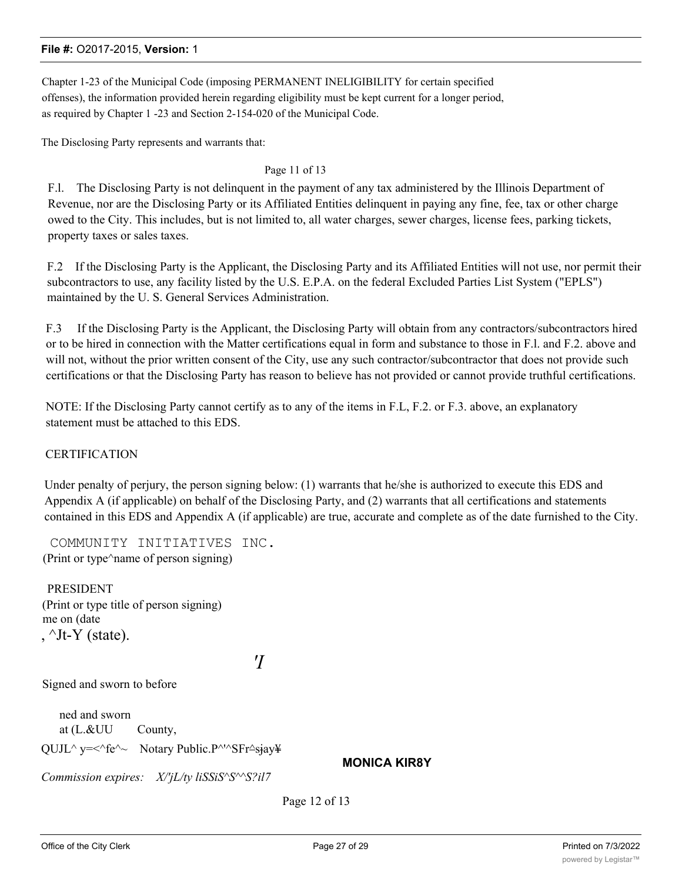Chapter 1-23 of the Municipal Code (imposing PERMANENT INELIGIBILITY for certain specified offenses), the information provided herein regarding eligibility must be kept current for a longer period, as required by Chapter 1 -23 and Section 2-154-020 of the Municipal Code.

The Disclosing Party represents and warrants that:

#### Page 11 of 13

F.l. The Disclosing Party is not delinquent in the payment of any tax administered by the Illinois Department of Revenue, nor are the Disclosing Party or its Affiliated Entities delinquent in paying any fine, fee, tax or other charge owed to the City. This includes, but is not limited to, all water charges, sewer charges, license fees, parking tickets, property taxes or sales taxes.

F.2 If the Disclosing Party is the Applicant, the Disclosing Party and its Affiliated Entities will not use, nor permit their subcontractors to use, any facility listed by the U.S. E.P.A. on the federal Excluded Parties List System ("EPLS") maintained by the U. S. General Services Administration.

F.3 If the Disclosing Party is the Applicant, the Disclosing Party will obtain from any contractors/subcontractors hired or to be hired in connection with the Matter certifications equal in form and substance to those in F.l. and F.2. above and will not, without the prior written consent of the City, use any such contractor/subcontractor that does not provide such certifications or that the Disclosing Party has reason to believe has not provided or cannot provide truthful certifications.

NOTE: If the Disclosing Party cannot certify as to any of the items in F.L, F.2. or F.3. above, an explanatory statement must be attached to this EDS.

## **CERTIFICATION**

Under penalty of perjury, the person signing below: (1) warrants that he/she is authorized to execute this EDS and Appendix A (if applicable) on behalf of the Disclosing Party, and (2) warrants that all certifications and statements contained in this EDS and Appendix A (if applicable) are true, accurate and complete as of the date furnished to the City.

COMMUNITY INITIATIVES INC. (Print or type^name of person signing)

**PRESIDENT** (Print or type title of person signing) me on (date ,  $\text{I}_t$ -Y (state).

*'I*

Signed and sworn to before

ned and sworn at (L.&UU County, QUJL^ y=<^fe^~ Notary Public.P^'^SFr^siay\

**MONICA KIR8Y**

*Commission expires: X/'jL/ty liSSiS^S^^S?il7*

Page 12 of 13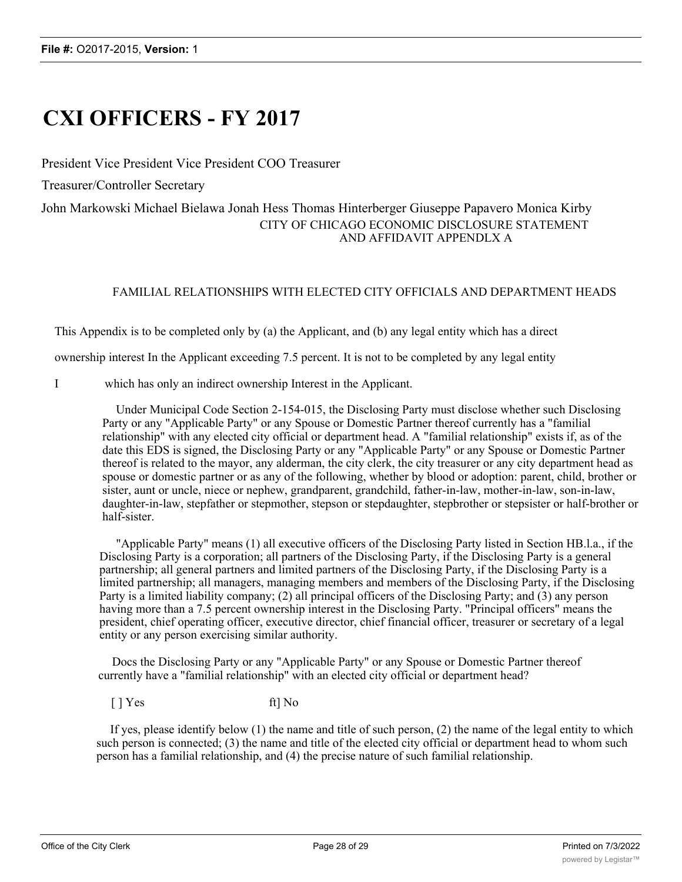# **CXI OFFICERS - FY 2017**

President Vice President Vice President COO Treasurer

Treasurer/Controller Secretary

## John Markowski Michael Bielawa Jonah Hess Thomas Hinterberger Giuseppe Papavero Monica Kirby CITY OF CHICAGO ECONOMIC DISCLOSURE STATEMENT AND AFFIDAVIT APPENDLX A

## FAMILIAL RELATIONSHIPS WITH ELECTED CITY OFFICIALS AND DEPARTMENT HEADS

This Appendix is to be completed only by (a) the Applicant, and (b) any legal entity which has a direct

ownership interest In the Applicant exceeding 7.5 percent. It is not to be completed by any legal entity

I which has only an indirect ownership Interest in the Applicant.

Under Municipal Code Section 2-154-015, the Disclosing Party must disclose whether such Disclosing Party or any "Applicable Party" or any Spouse or Domestic Partner thereof currently has a "familial relationship" with any elected city official or department head. A "familial relationship" exists if, as of the date this EDS is signed, the Disclosing Party or any "Applicable Party" or any Spouse or Domestic Partner thereof is related to the mayor, any alderman, the city clerk, the city treasurer or any city department head as spouse or domestic partner or as any of the following, whether by blood or adoption: parent, child, brother or sister, aunt or uncle, niece or nephew, grandparent, grandchild, father-in-law, mother-in-law, son-in-law, daughter-in-law, stepfather or stepmother, stepson or stepdaughter, stepbrother or stepsister or half-brother or half-sister.

"Applicable Party" means (1) all executive officers of the Disclosing Party listed in Section HB.l.a., if the Disclosing Party is a corporation; all partners of the Disclosing Party, if the Disclosing Party is a general partnership; all general partners and limited partners of the Disclosing Party, if the Disclosing Party is a limited partnership; all managers, managing members and members of the Disclosing Party, if the Disclosing Party is a limited liability company; (2) all principal officers of the Disclosing Party; and (3) any person having more than a 7.5 percent ownership interest in the Disclosing Party. "Principal officers" means the president, chief operating officer, executive director, chief financial officer, treasurer or secretary of a legal entity or any person exercising similar authority.

Docs the Disclosing Party or any "Applicable Party" or any Spouse or Domestic Partner thereof currently have a "familial relationship" with an elected city official or department head?

 $[$  | Yes ft] No

If yes, please identify below (1) the name and title of such person, (2) the name of the legal entity to which such person is connected; (3) the name and title of the elected city official or department head to whom such person has a familial relationship, and (4) the precise nature of such familial relationship.